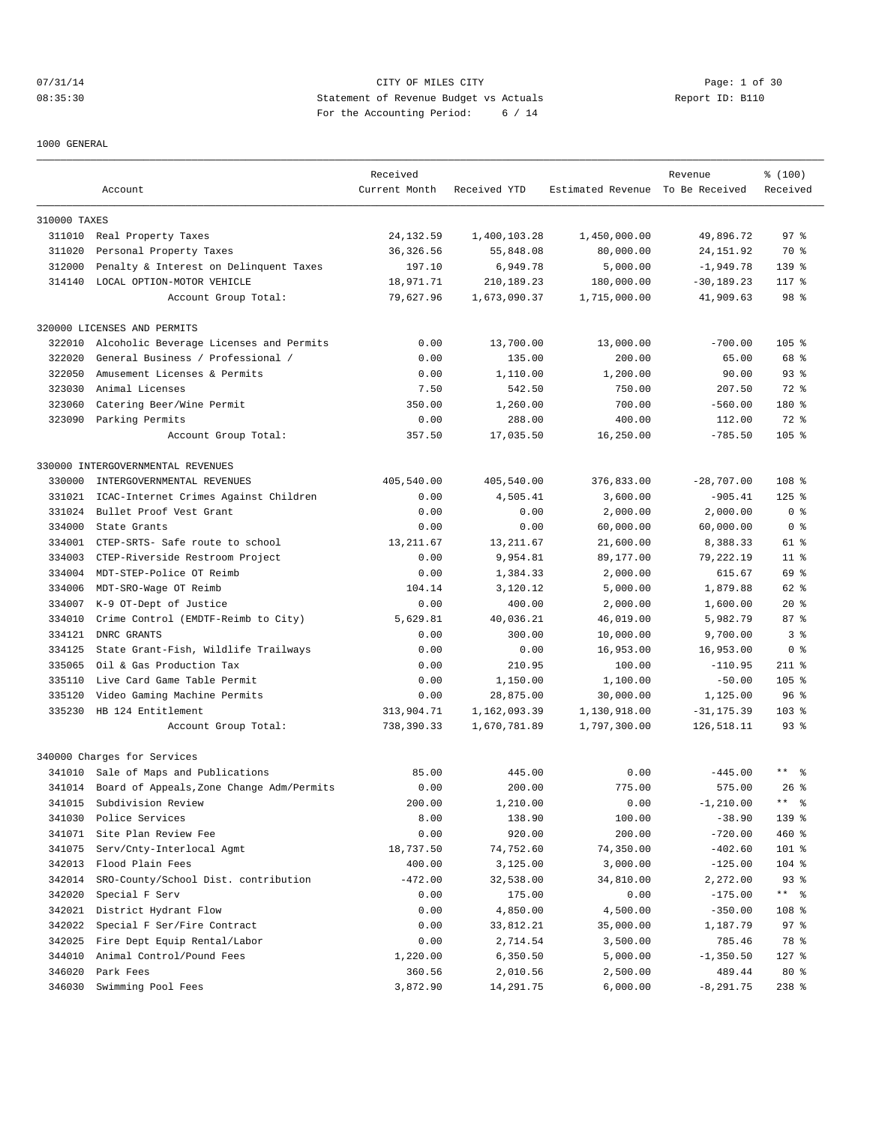# 07/31/14 Page: 1 of 30 08:35:30 Statement of Revenue Budget vs Actuals Report ID: B110 For the Accounting Period: 6 / 14

1000 GENERAL

|              | Account                                   | Received<br>Current Month | Received YTD          | Estimated Revenue To Be Received | Revenue       | % (100)<br>Received |
|--------------|-------------------------------------------|---------------------------|-----------------------|----------------------------------|---------------|---------------------|
|              |                                           |                           |                       |                                  |               |                     |
| 310000 TAXES |                                           |                           |                       |                                  |               |                     |
|              | 311010 Real Property Taxes                | 24, 132.59                | 1,400,103.28          | 1,450,000.00                     | 49,896.72     | 97 <sup>8</sup>     |
| 311020       | Personal Property Taxes                   | 36, 326.56                | 55,848.08             | 80,000.00                        | 24, 151.92    | 70 %                |
| 312000       | Penalty & Interest on Delinquent Taxes    | 197.10                    | 6,949.78              | 5,000.00                         | $-1,949.78$   | $139$ %             |
| 314140       | LOCAL OPTION-MOTOR VEHICLE                | 18,971.71                 | 210,189.23            | 180,000.00                       | $-30, 189.23$ | 117.8               |
|              | Account Group Total:                      | 79,627.96                 | 1,673,090.37          | 1,715,000.00                     | 41,909.63     | 98 <sup>8</sup>     |
|              | 320000 LICENSES AND PERMITS               |                           |                       |                                  |               |                     |
| 322010       | Alcoholic Beverage Licenses and Permits   | 0.00                      | 13,700.00             | 13,000.00                        | $-700.00$     | $105$ %             |
| 322020       | General Business / Professional /         | 0.00                      | 135.00                | 200.00                           | 65.00         | 68 %                |
| 322050       | Amusement Licenses & Permits              | 0.00                      | 1,110.00              | 1,200.00                         | 90.00         | 93 <sup>8</sup>     |
| 323030       | Animal Licenses                           | 7.50                      | 542.50                | 750.00                           | 207.50        | 72 %                |
| 323060       | Catering Beer/Wine Permit                 | 350.00                    | 1,260.00              | 700.00                           | $-560.00$     | 180 %               |
| 323090       | Parking Permits                           | 0.00                      | 288.00                | 400.00                           | 112.00        | 72 %                |
|              | Account Group Total:                      | 357.50                    | 17,035.50             | 16,250.00                        | $-785.50$     | $105$ %             |
|              | 330000 INTERGOVERNMENTAL REVENUES         |                           |                       |                                  |               |                     |
| 330000       | INTERGOVERNMENTAL REVENUES                | 405,540.00                | 405,540.00            | 376,833.00                       | $-28,707.00$  | 108 <sup>8</sup>    |
| 331021       | ICAC-Internet Crimes Against Children     | 0.00                      | 4,505.41              | 3,600.00                         | $-905.41$     | $125$ %             |
| 331024       | Bullet Proof Vest Grant                   | 0.00                      | 0.00                  | 2,000.00                         | 2,000.00      | 0 <sup>8</sup>      |
| 334000       | State Grants                              | 0.00                      | 0.00                  | 60,000.00                        | 60,000.00     | 0 <sup>8</sup>      |
| 334001       | CTEP-SRTS- Safe route to school           | 13, 211.67                | 13, 211.67            | 21,600.00                        | 8,388.33      | 61 %                |
| 334003       | CTEP-Riverside Restroom Project           | 0.00                      | 9,954.81              | 89,177.00                        | 79,222.19     | $11$ %              |
| 334004       | MDT-STEP-Police OT Reimb                  | 0.00                      | 1,384.33              | 2,000.00                         | 615.67        | 69 %                |
| 334006       | MDT-SRO-Wage OT Reimb                     | 104.14                    | 3,120.12              | 5,000.00                         | 1,879.88      | 62 %                |
| 334007       | K-9 OT-Dept of Justice                    | 0.00                      | 400.00                | 2,000.00                         | 1,600.00      | $20*$               |
| 334010       | Crime Control (EMDTF-Reimb to City)       | 5,629.81                  | 40,036.21             | 46,019.00                        | 5,982.79      | 87%                 |
| 334121       | DNRC GRANTS                               | 0.00                      | 300.00                | 10,000.00                        | 9,700.00      | 3 <sup>8</sup>      |
| 334125       | State Grant-Fish, Wildlife Trailways      | 0.00                      | 0.00                  | 16,953.00                        | 16,953.00     | 0 <sup>8</sup>      |
| 335065       | Oil & Gas Production Tax                  | 0.00                      | 210.95                | 100.00                           | $-110.95$     | $211$ %             |
| 335110       | Live Card Game Table Permit               | 0.00                      | 1,150.00              | 1,100.00                         | $-50.00$      | 105 <sub>8</sub>    |
| 335120       | Video Gaming Machine Permits              | 0.00                      | 28,875.00             | 30,000.00                        | 1,125.00      | 96%                 |
| 335230       | HB 124 Entitlement                        | 313,904.71                | 1,162,093.39          | 1,130,918.00                     | $-31, 175.39$ | $103$ %             |
|              | Account Group Total:                      | 738,390.33                | 1,670,781.89          | 1,797,300.00                     | 126,518.11    | $93$ $%$            |
|              | 340000 Charges for Services               |                           |                       |                                  |               |                     |
|              | 341010 Sale of Maps and Publications      | 85.00                     | 445.00                | 0.00                             | $-445.00$     | $\star\star$<br>- 옹 |
| 341014       | Board of Appeals, Zone Change Adm/Permits | 0.00                      | 200.00                | 775.00                           | 575.00        | $26$ %              |
| 341015       | Subdivision Review                        | 200.00                    | 1,210.00              | 0.00                             | $-1, 210.00$  | ** 응                |
| 341030       | Police Services                           | 8.00                      | 138.90                | 100.00                           | $-38.90$      | 139 %               |
| 341071       | Site Plan Review Fee                      | 0.00                      | 920.00                |                                  | $-720.00$     | 460 %               |
| 341075       |                                           |                           |                       | 200.00                           | $-402.60$     |                     |
| 342013       | Serv/Cnty-Interlocal Agmt                 | 18,737.50<br>400.00       | 74,752.60<br>3,125.00 | 74,350.00<br>3,000.00            | $-125.00$     | 101 %<br>104 %      |
|              | Flood Plain Fees                          |                           |                       |                                  |               |                     |
| 342014       | SRO-County/School Dist. contribution      | $-472.00$                 | 32,538.00             | 34,810.00                        | 2,272.00      | $93$ $%$            |
| 342020       | Special F Serv                            | 0.00                      | 175.00                | 0.00                             | $-175.00$     | ** %                |
| 342021       | District Hydrant Flow                     | 0.00                      | 4,850.00              | 4,500.00                         | $-350.00$     | 108 %               |
| 342022       | Special F Ser/Fire Contract               | 0.00                      | 33,812.21             | 35,000.00                        | 1,187.79      | 97%                 |
| 342025       | Fire Dept Equip Rental/Labor              | 0.00                      | 2,714.54              | 3,500.00                         | 785.46        | 78 %                |
| 344010       | Animal Control/Pound Fees                 | 1,220.00                  | 6,350.50              | 5,000.00                         | $-1,350.50$   | $127$ %             |
| 346020       | Park Fees                                 | 360.56                    | 2,010.56              | 2,500.00                         | 489.44        | 80 %                |
| 346030       | Swimming Pool Fees                        | 3,872.90                  | 14,291.75             | 6,000.00                         | $-8, 291.75$  | $238$ %             |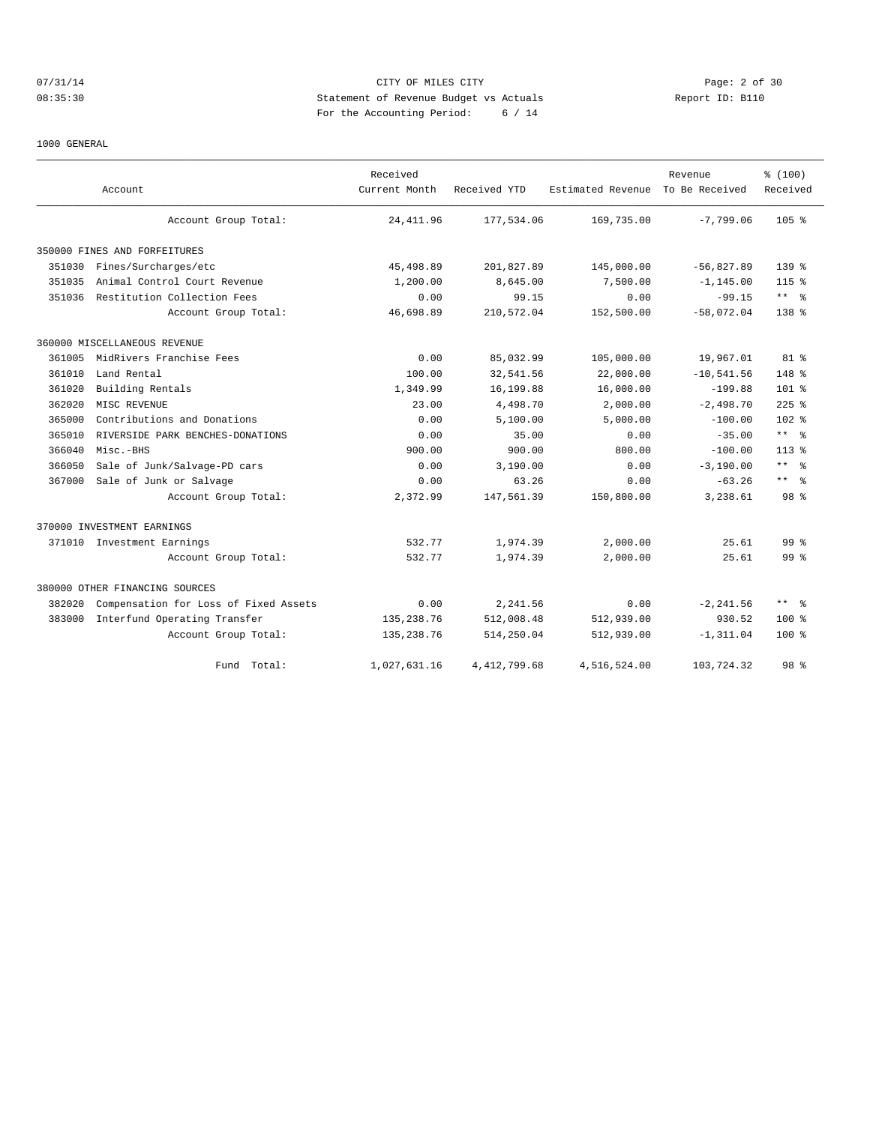#### 07/31/14 Page: 2 of 30 08:35:30 Statement of Revenue Budget vs Actuals Report ID: B110 For the Accounting Period: 6 / 14

#### 1000 GENERAL

|        | Account                               | Received<br>Current Month | Received YTD   | Estimated Revenue To Be Received | Revenue      | % (100)<br>Received  |
|--------|---------------------------------------|---------------------------|----------------|----------------------------------|--------------|----------------------|
|        | Account Group Total:                  | 24, 411.96                | 177,534.06     | 169,735.00                       | $-7,799.06$  | $105$ %              |
|        | 350000 FINES AND FORFEITURES          |                           |                |                                  |              |                      |
| 351030 | Fines/Surcharges/etc                  | 45,498.89                 | 201,827.89     | 145,000.00                       | $-56,827.89$ | $139*$               |
| 351035 | Animal Control Court Revenue          | 1,200.00                  | 8,645.00       | 7,500.00                         | $-1.145.00$  | $115*$               |
| 351036 | Restitution Collection Fees           | 0.00                      | 99.15          | 0.00                             | $-99.15$     | $***$ %              |
|        | Account Group Total:                  | 46,698.89                 | 210,572.04     | 152,500.00                       | $-58,072.04$ | $138*$               |
|        | 360000 MISCELLANEOUS REVENUE          |                           |                |                                  |              |                      |
| 361005 | MidRivers Franchise Fees              | 0.00                      | 85,032.99      | 105,000.00                       | 19,967.01    | 81 %                 |
| 361010 | Land Rental                           | 100.00                    | 32,541.56      | 22,000.00                        | $-10,541.56$ | 148 %                |
| 361020 | Building Rentals                      | 1,349.99                  | 16,199.88      | 16,000.00                        | $-199.88$    | 101 <sub>8</sub>     |
| 362020 | MISC REVENUE                          | 23.00                     | 4,498.70       | 2,000.00                         | $-2,498.70$  | $225$ %              |
| 365000 | Contributions and Donations           | 0.00                      | 5.100.00       | 5.000.00                         | $-100.00$    | 102 <sub>8</sub>     |
| 365010 | RIVERSIDE PARK BENCHES-DONATIONS      | 0.00                      | 35.00          | 0.00                             | $-35.00$     | $***$ %              |
| 366040 | Misc.-BHS                             | 900.00                    | 900.00         | 800.00                           | $-100.00$    | $113*$               |
| 366050 | Sale of Junk/Salvage-PD cars          | 0.00                      | 3,190.00       | 0.00                             | $-3,190.00$  | $***$ 2              |
| 367000 | Sale of Junk or Salvage               | 0.00                      | 63.26          | 0.00                             | $-63.26$     | $***$ $ \frac{6}{9}$ |
|        | Account Group Total:                  | 2,372.99                  | 147,561.39     | 150,800.00                       | 3,238.61     | 98 <sup>8</sup>      |
|        | 370000 INVESTMENT EARNINGS            |                           |                |                                  |              |                      |
|        | 371010 Investment Earnings            | 532.77                    | 1,974.39       | 2,000.00                         | 25.61        | 99 <sup>8</sup>      |
|        | Account Group Total:                  | 532.77                    | 1,974.39       | 2,000.00                         | 25.61        | 99 <sup>8</sup>      |
|        | 380000 OTHER FINANCING SOURCES        |                           |                |                                  |              |                      |
| 382020 | Compensation for Loss of Fixed Assets | 0.00                      | 2,241.56       | 0.00                             | $-2, 241.56$ | $***$ %              |
| 383000 | Interfund Operating Transfer          | 135,238.76                | 512,008.48     | 512,939.00                       | 930.52       | $100*$               |
|        | Account Group Total:                  | 135, 238.76               | 514,250.04     | 512,939.00                       | $-1, 311.04$ | $100*$               |
|        | Fund Total:                           | 1,027,631.16              | 4, 412, 799.68 | 4,516,524.00                     | 103,724.32   | 98 <sup>8</sup>      |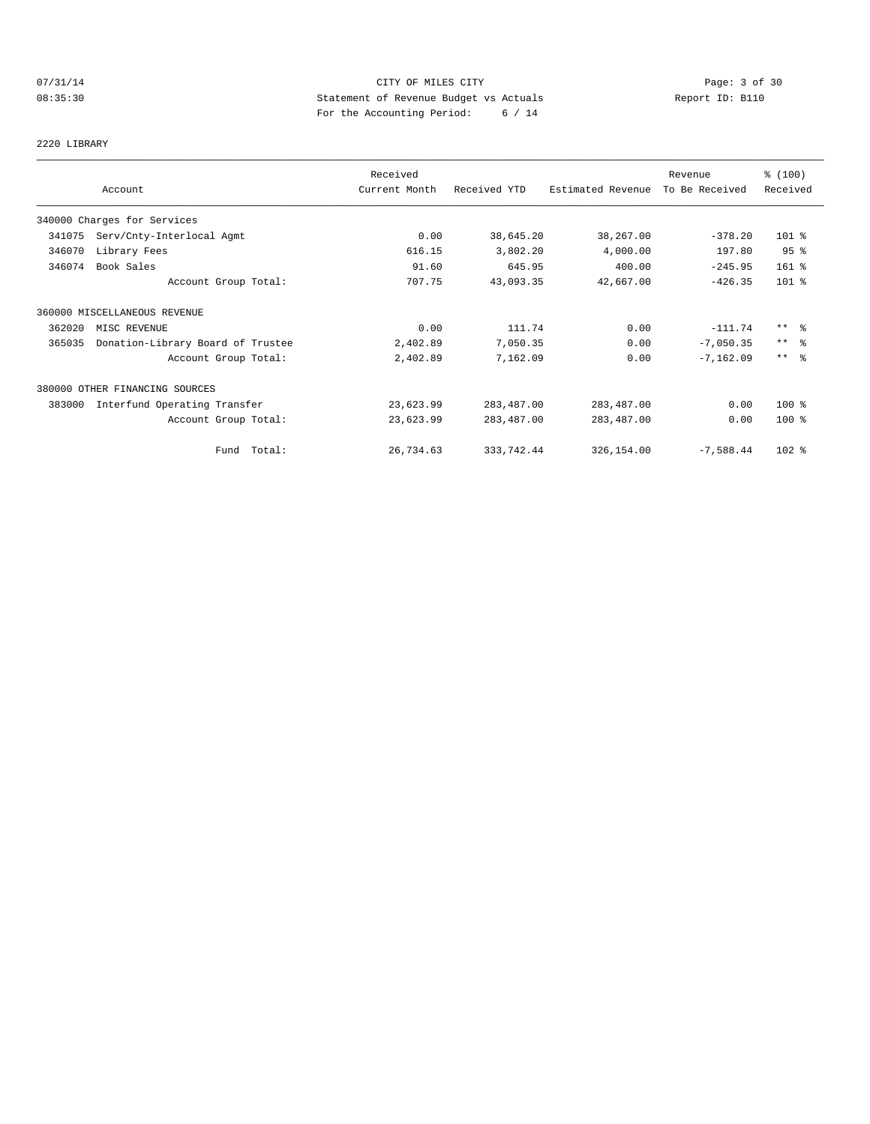# 07/31/14 Page: 3 of 30 08:35:30 Statement of Revenue Budget vs Actuals Report ID: B110 For the Accounting Period: 6 / 14

2220 LIBRARY

|        |                                   | Received      |              |                   | Revenue        | % (100)         |
|--------|-----------------------------------|---------------|--------------|-------------------|----------------|-----------------|
|        | Account                           | Current Month | Received YTD | Estimated Revenue | To Be Received | Received        |
|        | 340000 Charges for Services       |               |              |                   |                |                 |
| 341075 | Serv/Cnty-Interlocal Agmt         | 0.00          | 38,645.20    | 38,267.00         | $-378.20$      | $101$ %         |
| 346070 | Library Fees                      | 616.15        | 3,802.20     | 4,000.00          | 197.80         | 95%             |
| 346074 | Book Sales                        | 91.60         | 645.95       | 400.00            | $-245.95$      | $161$ %         |
|        | Account Group Total:              | 707.75        | 43,093.35    | 42,667.00         | $-426.35$      | 101 %           |
|        | 360000 MISCELLANEOUS REVENUE      |               |              |                   |                |                 |
| 362020 | MISC REVENUE                      | 0.00          | 111.74       | 0.00              | $-111.74$      | $***$ %         |
| 365035 | Donation-Library Board of Trustee | 2,402.89      | 7,050.35     | 0.00              | $-7,050.35$    | $***$ $\approx$ |
|        | Account Group Total:              | 2,402.89      | 7,162.09     | 0.00              | $-7, 162.09$   | $***$ $\approx$ |
|        | 380000 OTHER FINANCING SOURCES    |               |              |                   |                |                 |
| 383000 | Interfund Operating Transfer      | 23,623.99     | 283,487.00   | 283, 487.00       | 0.00           | $100$ %         |
|        | Account Group Total:              | 23,623.99     | 283,487.00   | 283,487.00        | 0.00           | $100*$          |
|        | Fund Total:                       | 26,734.63     | 333,742.44   | 326,154.00        | $-7,588.44$    | $102$ %         |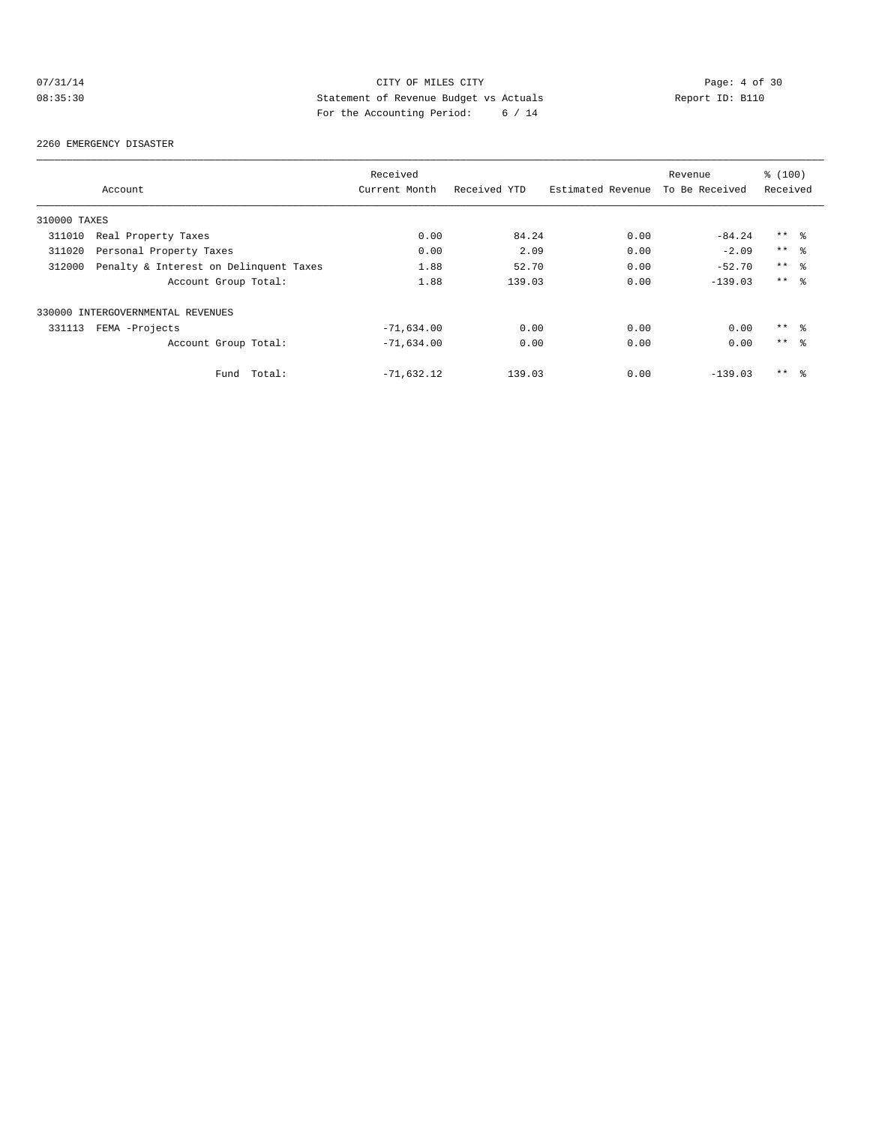# 07/31/14 Page: 4 of 30 08:35:30 Statement of Revenue Budget vs Actuals Report ID: B110 For the Accounting Period: 6 / 14

#### 2260 EMERGENCY DISASTER

|              |                                        | Received      |              |                   | Revenue        | \$(100)         |  |
|--------------|----------------------------------------|---------------|--------------|-------------------|----------------|-----------------|--|
|              | Account                                | Current Month | Received YTD | Estimated Revenue | To Be Received | Received        |  |
| 310000 TAXES |                                        |               |              |                   |                |                 |  |
| 311010       | Real Property Taxes                    | 0.00          | 84.24        | 0.00              | $-84.24$       | $***$ %         |  |
| 311020       | Personal Property Taxes                | 0.00          | 2.09         | 0.00              | $-2.09$        | $***$ $ -$      |  |
| 312000       | Penalty & Interest on Delinquent Taxes | 1.88          | 52.70        | 0.00              | $-52.70$       | $***$ %         |  |
|              | Account Group Total:                   | 1.88          | 139.03       | 0.00              | $-139.03$      | $***$ $\approx$ |  |
|              | 330000 INTERGOVERNMENTAL REVENUES      |               |              |                   |                |                 |  |
| 331113       | FEMA -Projects                         | $-71,634.00$  | 0.00         | 0.00              | 0.00           | ** %            |  |
|              | Account Group Total:                   | $-71,634.00$  | 0.00         | 0.00              | 0.00           | $***$ %         |  |
|              | Total:<br>Fund                         | $-71,632.12$  | 139.03       | 0.00              | $-139.03$      | $***$ %         |  |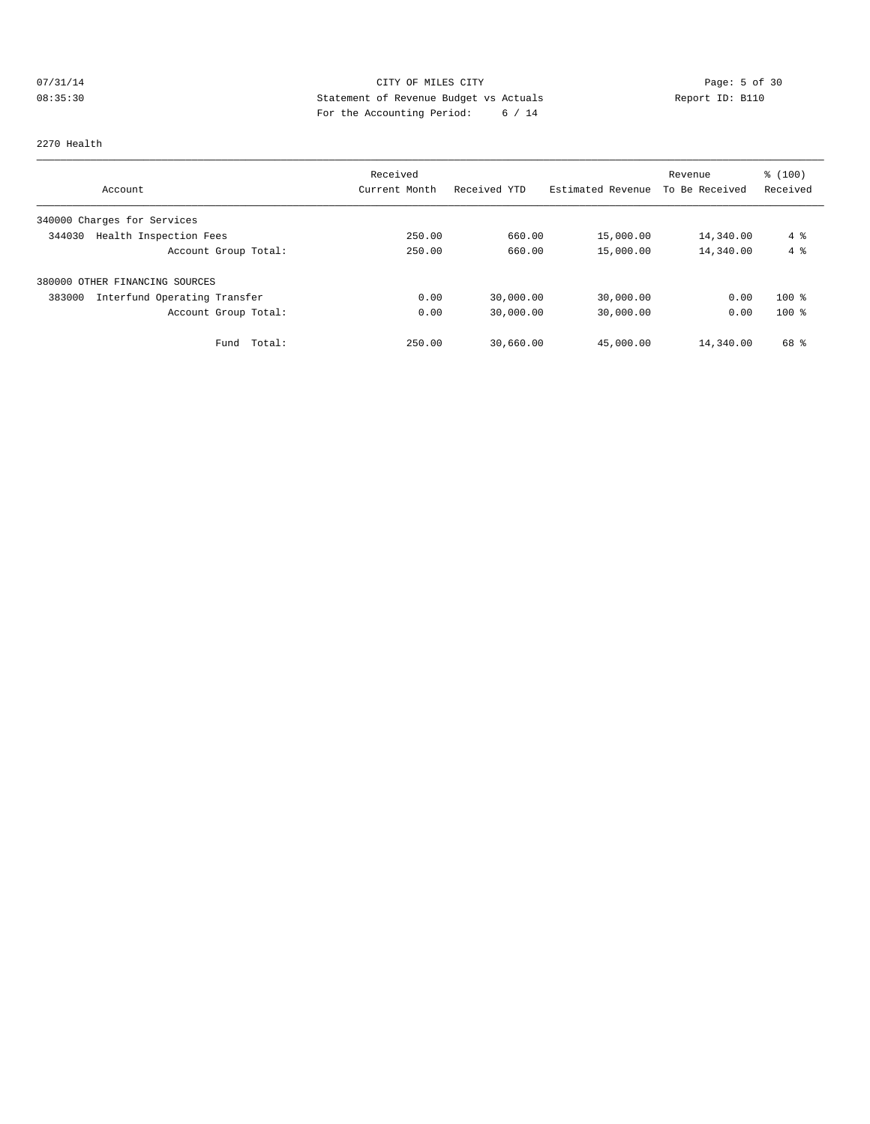# 07/31/14 Page: 5 of 30 08:35:30 Statement of Revenue Budget vs Actuals Report ID: B110 For the Accounting Period: 6 / 14

#### 2270 Health

| Account                                | Received<br>Current Month | Received YTD | Estimated Revenue | Revenue<br>To Be Received | % (100)<br>Received |
|----------------------------------------|---------------------------|--------------|-------------------|---------------------------|---------------------|
|                                        |                           |              |                   |                           |                     |
| 340000 Charges for Services            |                           |              |                   |                           |                     |
| Health Inspection Fees<br>344030       | 250.00                    | 660.00       | 15,000.00         | 14,340.00                 | $4\degree$          |
| Account Group Total:                   | 250.00                    | 660.00       | 15,000.00         | 14,340.00                 | 4%                  |
| 380000 OTHER FINANCING SOURCES         |                           |              |                   |                           |                     |
| 383000<br>Interfund Operating Transfer | 0.00                      | 30,000.00    | 30,000.00         | 0.00                      | $100$ %             |
| Account Group Total:                   | 0.00                      | 30,000.00    | 30,000.00         | 0.00                      | $100*$              |
| Total:<br>Fund                         | 250.00                    | 30,660.00    | 45,000.00         | 14,340.00                 | 68 %                |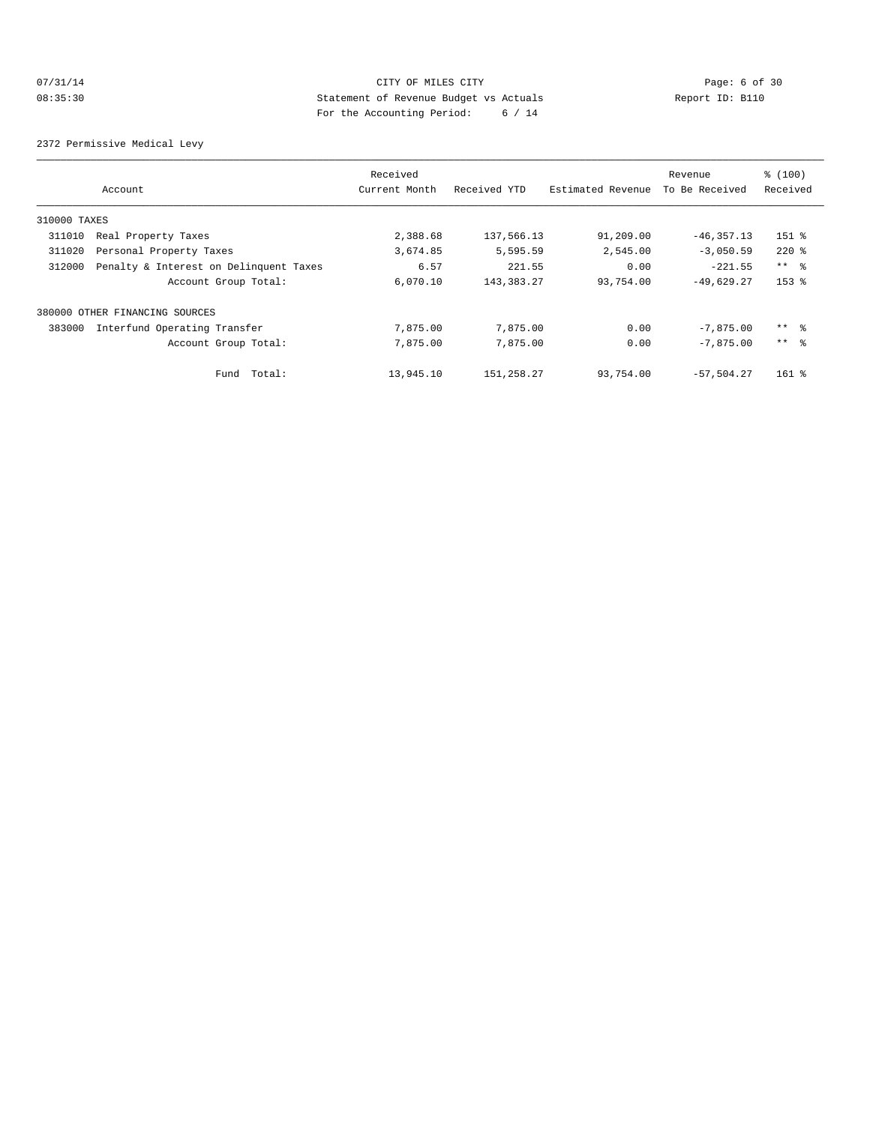# 07/31/14 Page: 6 of 30 08:35:30 Statement of Revenue Budget vs Actuals Report ID: B110 For the Accounting Period: 6 / 14

2372 Permissive Medical Levy

|              |                                        | Received      |              |                   | Revenue        | % (100)         |
|--------------|----------------------------------------|---------------|--------------|-------------------|----------------|-----------------|
|              | Account                                | Current Month | Received YTD | Estimated Revenue | To Be Received | Received        |
| 310000 TAXES |                                        |               |              |                   |                |                 |
| 311010       | Real Property Taxes                    | 2,388.68      | 137,566.13   | 91,209.00         | $-46, 357.13$  | $151$ %         |
| 311020       | Personal Property Taxes                | 3,674.85      | 5,595.59     | 2,545.00          | $-3,050.59$    | $220$ %         |
| 312000       | Penalty & Interest on Delinquent Taxes | 6.57          | 221.55       | 0.00              | $-221.55$      | $***$ %         |
|              | Account Group Total:                   | 6,070.10      | 143, 383. 27 | 93,754.00         | $-49,629.27$   | $153$ $%$       |
|              | 380000 OTHER FINANCING SOURCES         |               |              |                   |                |                 |
| 383000       | Interfund Operating Transfer           | 7,875.00      | 7,875.00     | 0.00              | $-7,875.00$    | $***$ %         |
|              | Account Group Total:                   | 7,875.00      | 7,875.00     | 0.00              | $-7.875.00$    | $***$ $\approx$ |
|              | Total:<br>Fund                         | 13,945.10     | 151,258.27   | 93,754.00         | $-57,504.27$   | $161$ %         |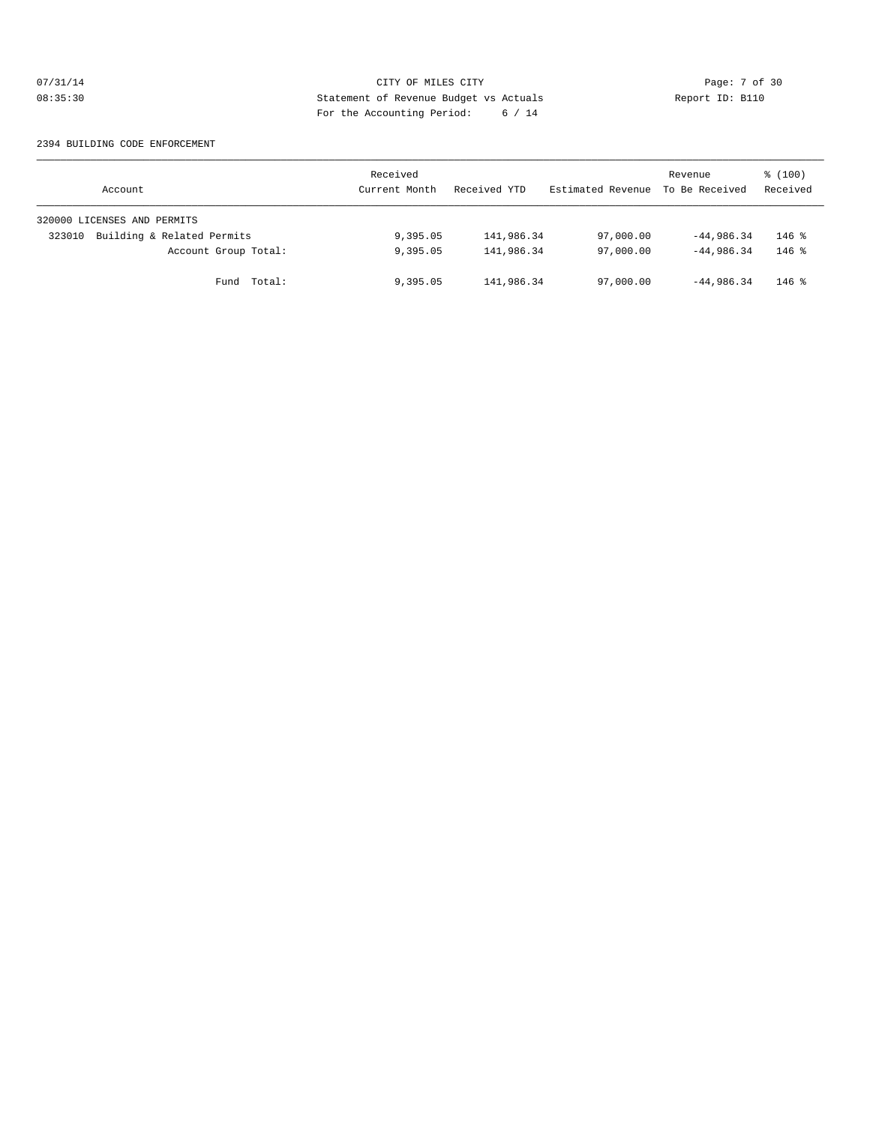# 07/31/14 Page: 7 of 30 08:35:30 Statement of Revenue Budget vs Actuals Report ID: B110 For the Accounting Period: 6 / 14

#### 2394 BUILDING CODE ENFORCEMENT

| Account                              | Received<br>Current Month | Received YTD | Estimated Revenue | Revenue<br>To Be Received | \$(100)<br>Received |
|--------------------------------------|---------------------------|--------------|-------------------|---------------------------|---------------------|
| 320000 LICENSES AND PERMITS          |                           |              |                   |                           |                     |
| Building & Related Permits<br>323010 | 9,395.05                  | 141,986.34   | 97,000.00         | $-44,986.34$              | $146$ %             |
| Account Group Total:                 | 9,395.05                  | 141,986.34   | 97,000.00         | $-44,986.34$              | $146$ %             |
| Fund Total:                          | 9,395.05                  | 141,986.34   | 97,000.00         | $-44,986.34$              | $146$ %             |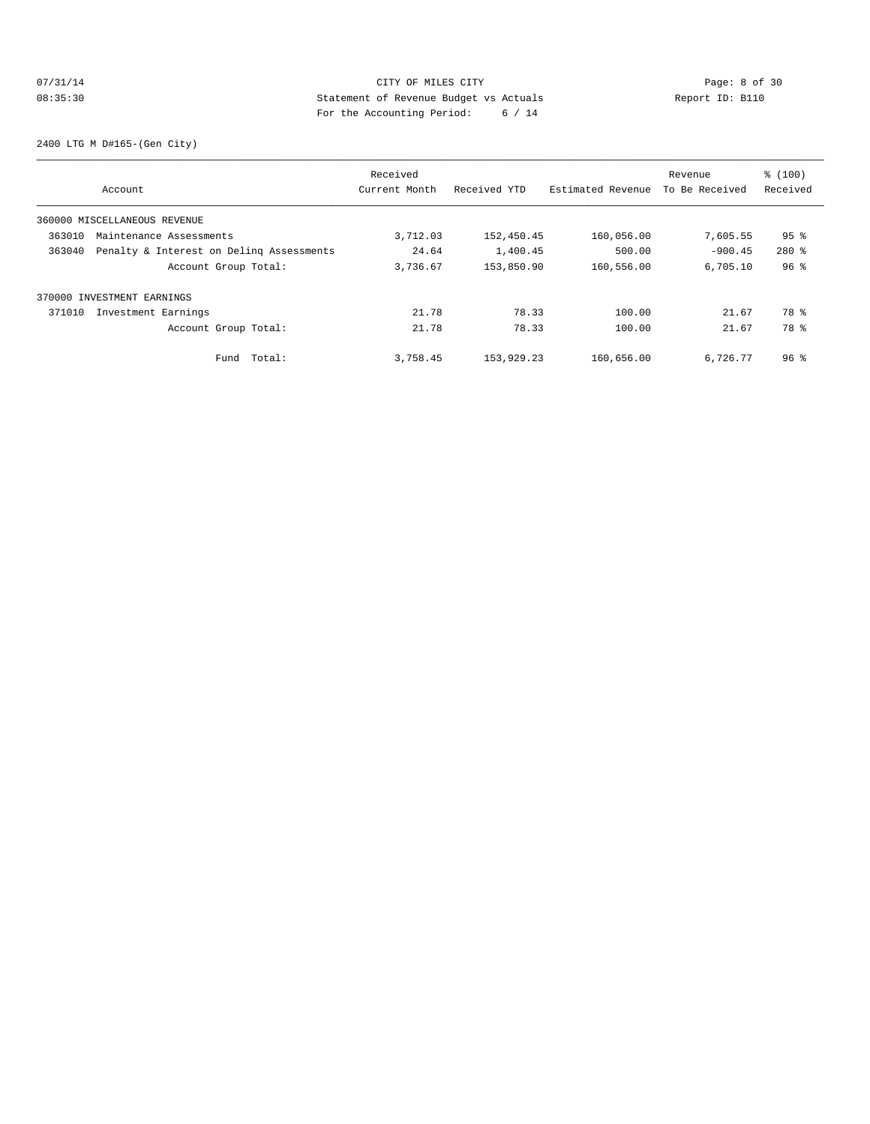# 07/31/14 Page: 8 of 30 08:35:30 Statement of Revenue Budget vs Actuals Report ID: B110 For the Accounting Period: 6 / 14

2400 LTG M D#165-(Gen City)

|        |                                          | Received      |              |                   | Revenue        | % (100)         |
|--------|------------------------------------------|---------------|--------------|-------------------|----------------|-----------------|
|        | Account                                  | Current Month | Received YTD | Estimated Revenue | To Be Received | Received        |
|        | 360000 MISCELLANEOUS REVENUE             |               |              |                   |                |                 |
| 363010 | Maintenance Assessments                  | 3,712.03      | 152,450.45   | 160,056.00        | 7,605.55       | 95 %            |
| 363040 | Penalty & Interest on Deling Assessments | 24.64         | 1,400.45     | 500.00            | $-900.45$      | $280*$          |
|        | Account Group Total:                     | 3,736.67      | 153,850.90   | 160,556.00        | 6,705.10       | 96%             |
|        | 370000 INVESTMENT EARNINGS               |               |              |                   |                |                 |
| 371010 | Investment Earnings                      | 21.78         | 78.33        | 100.00            | 21.67          | 78 %            |
|        | Account Group Total:                     | 21.78         | 78.33        | 100.00            | 21.67          | 78 %            |
|        | Fund Total:                              | 3,758.45      | 153,929.23   | 160,656.00        | 6,726.77       | 96 <sup>8</sup> |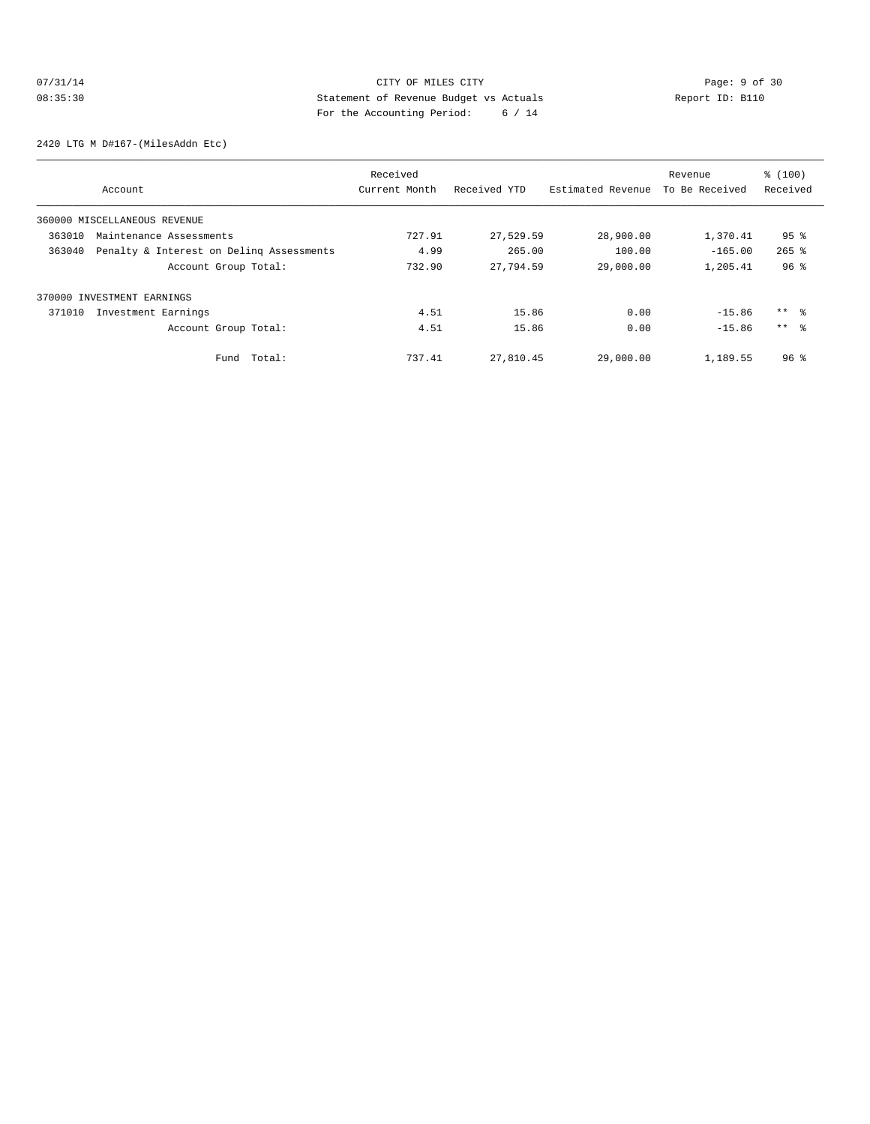# 07/31/14 Page: 9 of 30 08:35:30 Statement of Revenue Budget vs Actuals Report ID: B110 For the Accounting Period: 6 / 14

2420 LTG M D#167-(MilesAddn Etc)

|        |                                          | Received      |              |                   | Revenue        | % (100)             |
|--------|------------------------------------------|---------------|--------------|-------------------|----------------|---------------------|
|        | Account                                  | Current Month | Received YTD | Estimated Revenue | To Be Received | Received            |
|        | 360000 MISCELLANEOUS REVENUE             |               |              |                   |                |                     |
| 363010 | Maintenance Assessments                  | 727.91        | 27,529.59    | 28,900.00         | 1,370.41       | $95$ %              |
| 363040 | Penalty & Interest on Deling Assessments | 4.99          | 265.00       | 100.00            | $-165.00$      | $265$ $\frac{6}{5}$ |
|        | Account Group Total:                     | 732.90        | 27,794.59    | 29,000.00         | 1,205.41       | 96 <sup>8</sup>     |
|        | 370000 INVESTMENT EARNINGS               |               |              |                   |                |                     |
| 371010 | Investment Earnings                      | 4.51          | 15.86        | 0.00              | $-15.86$       | $***$ $\approx$     |
|        | Account Group Total:                     | 4.51          | 15.86        | 0.00              | $-15.86$       | $***$ $\approx$     |
|        | Total:<br>Fund                           | 737.41        | 27,810.45    | 29,000.00         | 1,189.55       | 96 <sup>8</sup>     |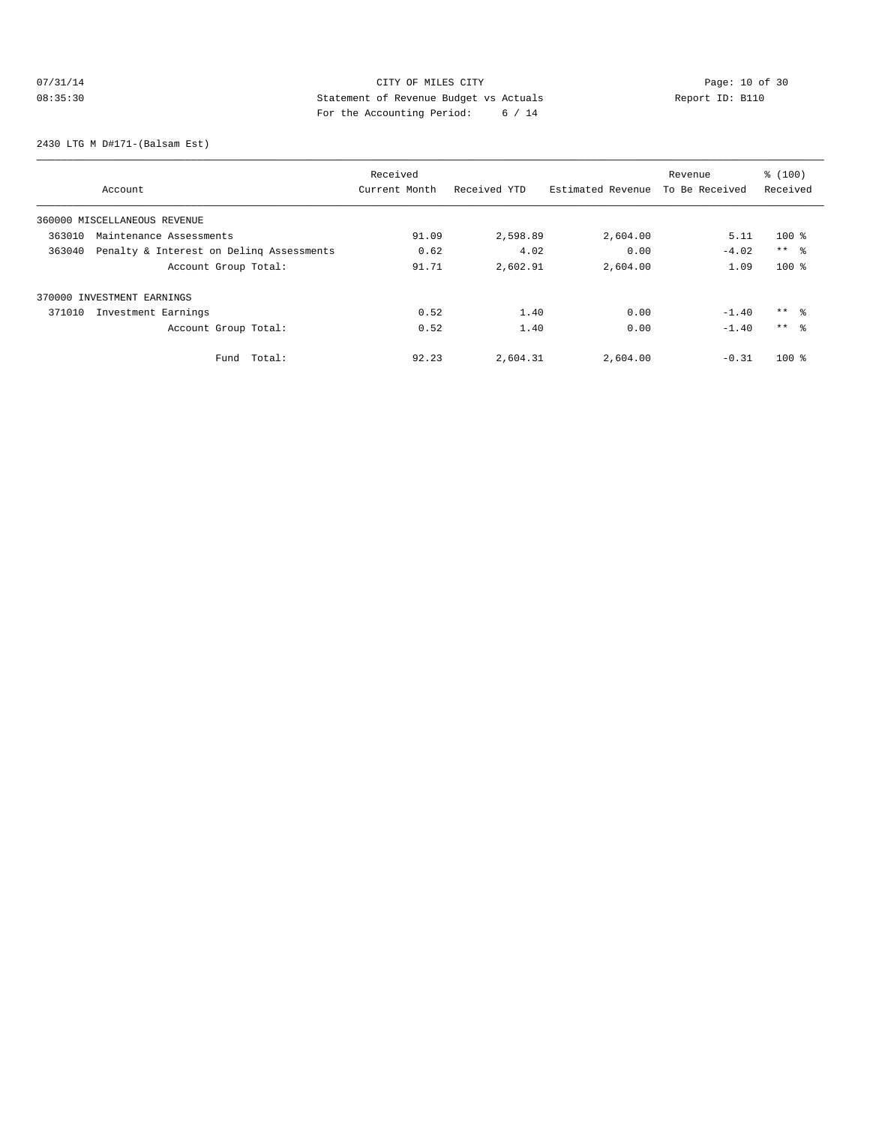# 07/31/14 Page: 10 of 30 08:35:30 Statement of Revenue Budget vs Actuals Report ID: B110 For the Accounting Period: 6 / 14

2430 LTG M D#171-(Balsam Est)

|                                                    | Received      |              | Revenue           |                | % (100)    |
|----------------------------------------------------|---------------|--------------|-------------------|----------------|------------|
| Account                                            | Current Month | Received YTD | Estimated Revenue | To Be Received | Received   |
| 360000 MISCELLANEOUS REVENUE                       |               |              |                   |                |            |
| 363010<br>Maintenance Assessments                  | 91.09         | 2,598.89     | 2,604.00          | 5.11           | $100*$     |
| Penalty & Interest on Deling Assessments<br>363040 | 0.62          | 4.02         | 0.00              | $-4.02$        | $***$ $ -$ |
| Account Group Total:                               | 91.71         | 2,602.91     | 2,604.00          | 1.09           | $100$ %    |
| 370000 INVESTMENT EARNINGS                         |               |              |                   |                |            |
| 371010<br>Investment Earnings                      | 0.52          | 1.40         | 0.00              | $-1.40$        | $***$ %    |
| Account Group Total:                               | 0.52          | 1.40         | 0.00              | $-1.40$        | $***$ %    |
| Total:<br>Fund                                     | 92.23         | 2,604.31     | 2,604.00          | $-0.31$        | $100*$     |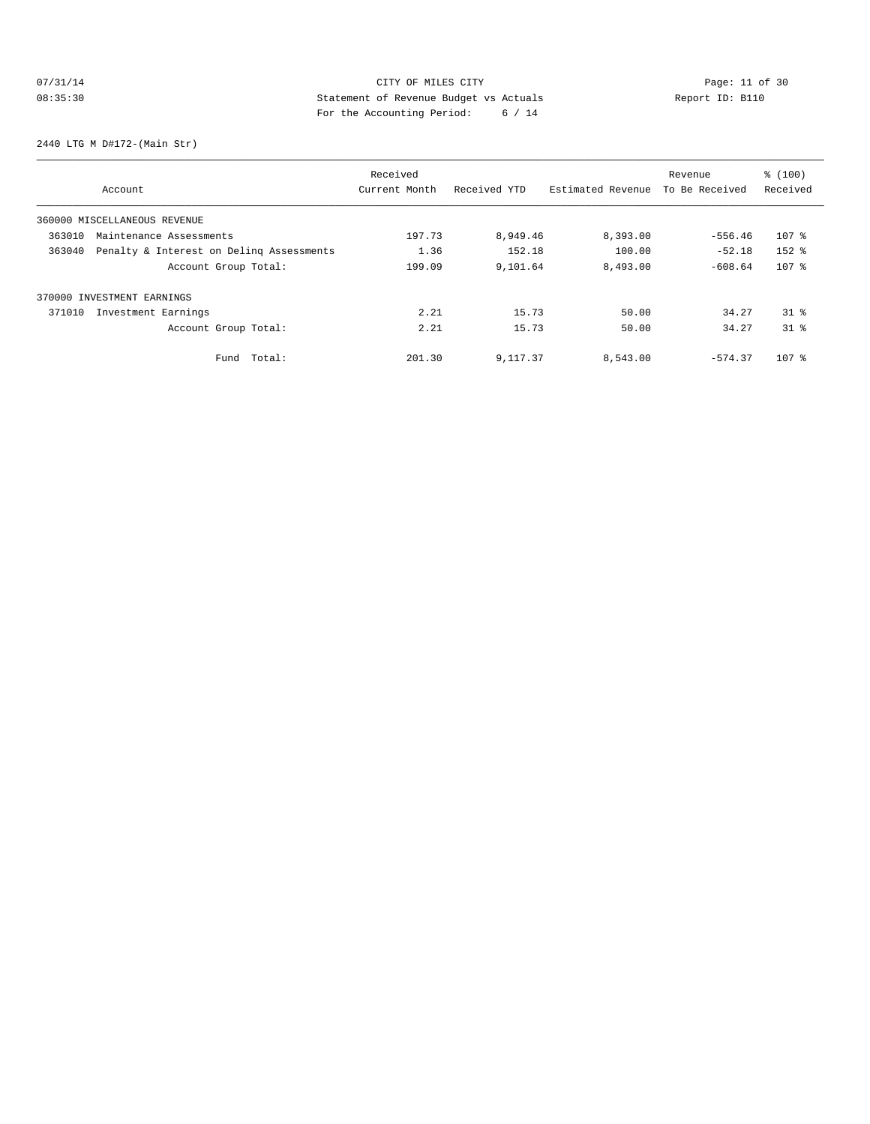# 07/31/14 Page: 11 of 30<br>
08:35:30<br>
Of 2011 CITY OF MILES CITY<br>
2011 CITY OF MILES CITY<br>
2012 CITY OF MILES CITY<br>
2012 CITY OF MILES CITY<br>
2021 CITY Actuals<br>
2021 City of 214 08:35:30 Statement of Revenue Budget vs Actuals Report ID: B110 For the Accounting Period: 6 / 14

2440 LTG M D#172-(Main Str)

|        |                                          | Received      |              |                   | Revenue        | % (100)         |
|--------|------------------------------------------|---------------|--------------|-------------------|----------------|-----------------|
|        | Account                                  | Current Month | Received YTD | Estimated Revenue | To Be Received | Received        |
|        | 360000 MISCELLANEOUS REVENUE             |               |              |                   |                |                 |
| 363010 | Maintenance Assessments                  | 197.73        | 8,949.46     | 8,393.00          | $-556.46$      | 107 %           |
| 363040 | Penalty & Interest on Deling Assessments | 1.36          | 152.18       | 100.00            | $-52.18$       | $152$ $%$       |
|        | Account Group Total:                     | 199.09        | 9,101.64     | 8,493.00          | $-608.64$      | 107 %           |
|        | 370000 INVESTMENT EARNINGS               |               |              |                   |                |                 |
| 371010 | Investment Earnings                      | 2.21          | 15.73        | 50.00             | 34.27          | 31 <sup>8</sup> |
|        | Account Group Total:                     | 2.21          | 15.73        | 50.00             | 34.27          | 31 <sup>°</sup> |
|        | Total:<br>Fund                           | 201.30        | 9,117.37     | 8,543.00          | $-574.37$      | $107$ %         |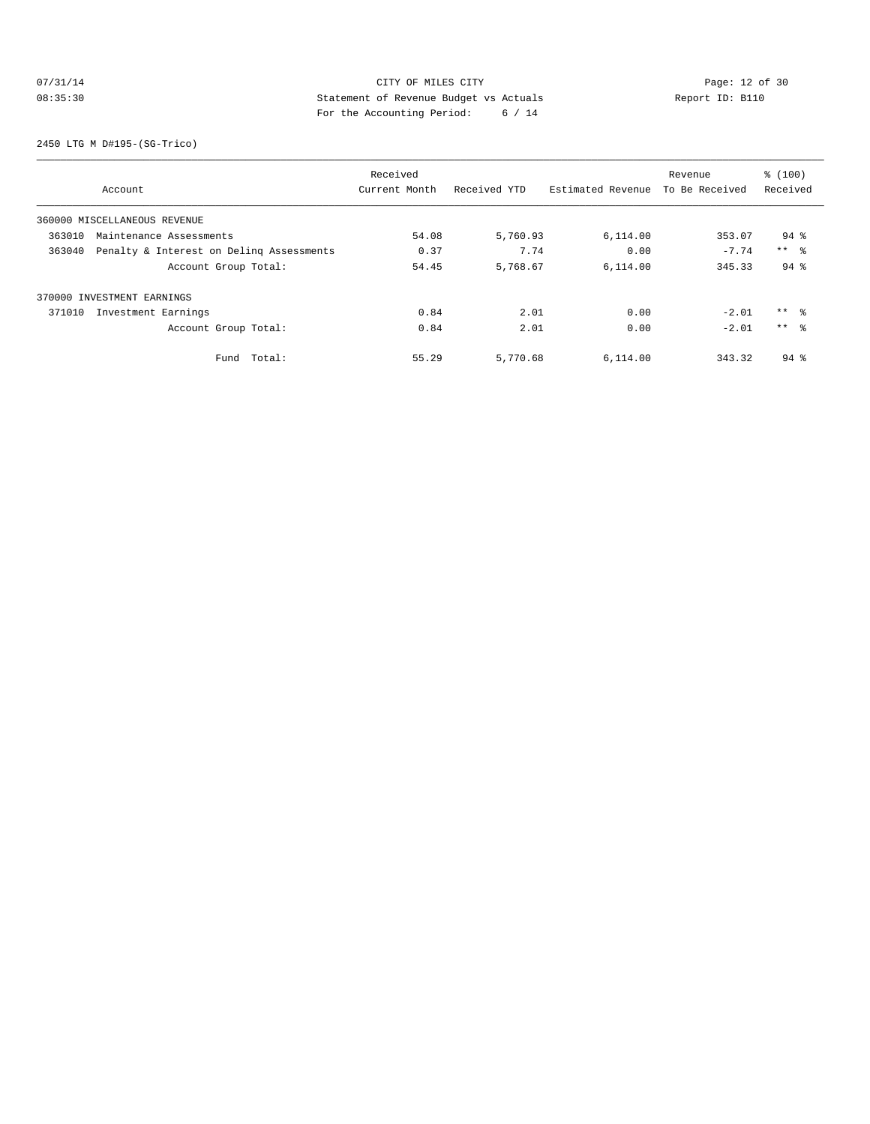# 07/31/14 Page: 12 of 30<br>
08:35:30<br>
08:35:30<br>
Details<br>
20. Complement of Revenue Budget vs Actuals<br>
20. Complement of the Actual Complement of Complement of the Actual Complement of Complement of Complement of Complement of 08:35:30 Statement of Revenue Budget vs Actuals Report ID: B110 For the Accounting Period: 6 / 14

2450 LTG M D#195-(SG-Trico)

|                                                    | Received      |              |                   | Revenue        | % (100)    |
|----------------------------------------------------|---------------|--------------|-------------------|----------------|------------|
| Account                                            | Current Month | Received YTD | Estimated Revenue | To Be Received | Received   |
| 360000 MISCELLANEOUS REVENUE                       |               |              |                   |                |            |
| 363010<br>Maintenance Assessments                  | 54.08         | 5,760.93     | 6,114.00          | 353.07         | $94$ $%$   |
| Penalty & Interest on Deling Assessments<br>363040 | 0.37          | 7.74         | 0.00              | $-7.74$        | $***$ $ -$ |
| Account Group Total:                               | 54.45         | 5,768.67     | 6,114.00          | 345.33         | $94$ $%$   |
| 370000 INVESTMENT EARNINGS                         |               |              |                   |                |            |
| 371010<br>Investment Earnings                      | 0.84          | 2.01         | 0.00              | $-2.01$        | $***$ %    |
| Account Group Total:                               | 0.84          | 2.01         | 0.00              | $-2.01$        | $***$ %    |
| Total:<br>Fund                                     | 55.29         | 5,770.68     | 6,114.00          | 343.32         | $94$ $%$   |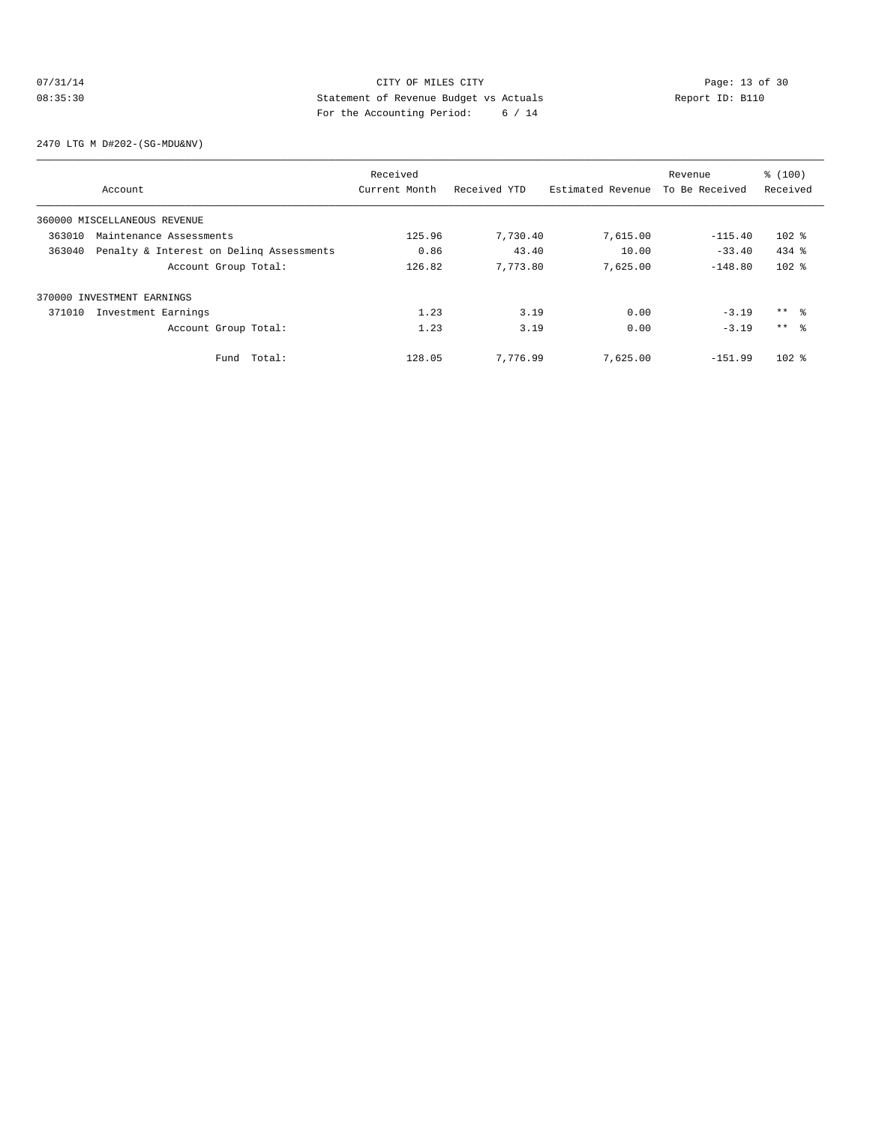# 07/31/14 Page: 13 of 30 08:35:30 Statement of Revenue Budget vs Actuals Report ID: B110 For the Accounting Period: 6 / 14

2470 LTG M D#202-(SG-MDU&NV)

|                                   |                                          | Received      |              |                   | Revenue        | % (100)         |
|-----------------------------------|------------------------------------------|---------------|--------------|-------------------|----------------|-----------------|
| Account                           |                                          | Current Month | Received YTD | Estimated Revenue | To Be Received | Received        |
| 360000 MISCELLANEOUS REVENUE      |                                          |               |              |                   |                |                 |
| 363010<br>Maintenance Assessments |                                          | 125.96        | 7,730.40     | 7,615.00          | $-115.40$      | $102$ %         |
| 363040                            | Penalty & Interest on Deling Assessments | 0.86          | 43.40        | 10.00             | $-33.40$       | $434$ $%$       |
|                                   | Account Group Total:                     | 126.82        | 7.773.80     | 7,625.00          | $-148.80$      | $102$ %         |
| 370000 INVESTMENT EARNINGS        |                                          |               |              |                   |                |                 |
| Investment Earnings<br>371010     |                                          | 1.23          | 3.19         | 0.00              | $-3.19$        | ** %            |
|                                   | Account Group Total:                     | 1.23          | 3.19         | 0.00              | $-3.19$        | $***$ $\approx$ |
|                                   | Total:<br>Fund                           | 128.05        | 7,776.99     | 7,625.00          | $-151.99$      | $102$ %         |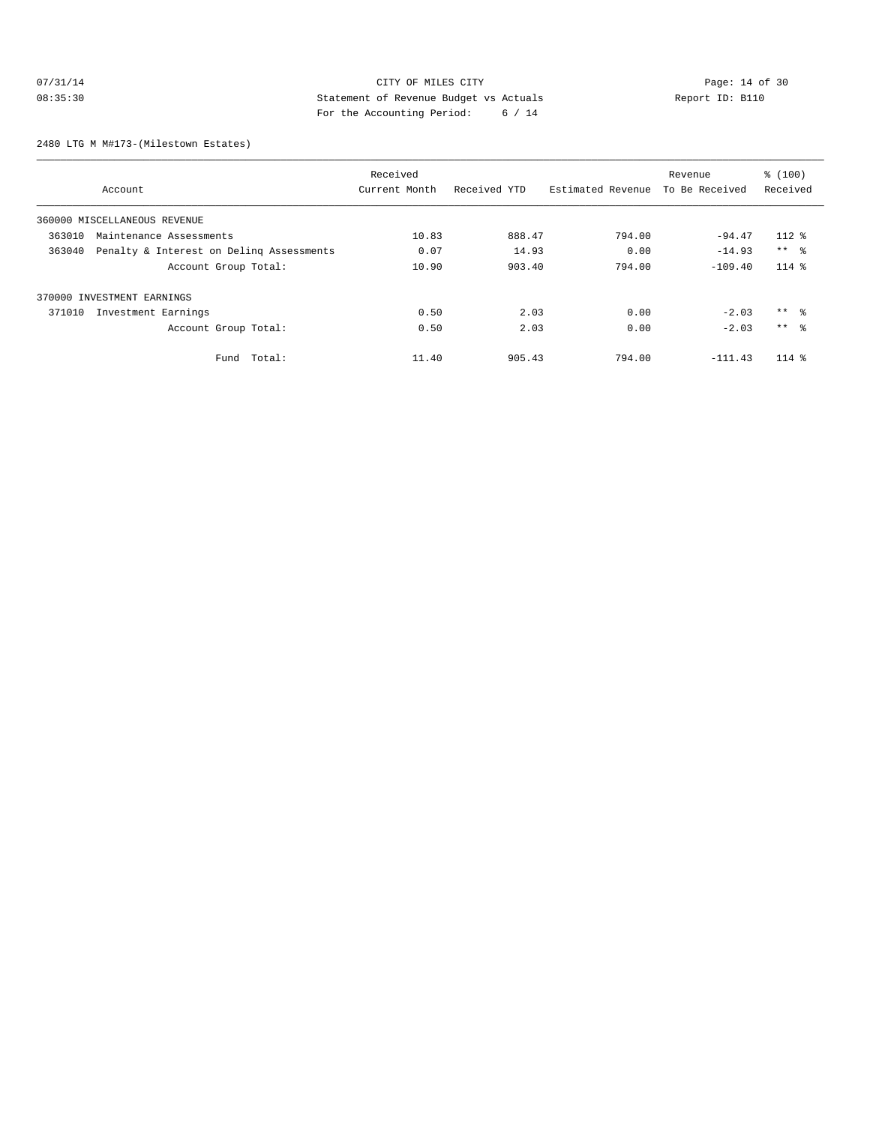# 07/31/14 Page: 14 of 30 08:35:30 Statement of Revenue Budget vs Actuals Report ID: B110<br>Report ID: B110 For the Accounting Period: 6 / 14

2480 LTG M M#173-(Milestown Estates)

|        |                                          | Received      |              |                   | Revenue        | % (100)         |
|--------|------------------------------------------|---------------|--------------|-------------------|----------------|-----------------|
|        | Account                                  | Current Month | Received YTD | Estimated Revenue | To Be Received | Received        |
|        | 360000 MISCELLANEOUS REVENUE             |               |              |                   |                |                 |
| 363010 | Maintenance Assessments                  | 10.83         | 888.47       | 794.00            | $-94.47$       | $112*$          |
| 363040 | Penalty & Interest on Deling Assessments | 0.07          | 14.93        | 0.00              | $-14.93$       | $***$ %         |
|        | Account Group Total:                     | 10.90         | 903.40       | 794.00            | $-109.40$      | $114$ %         |
|        | 370000 INVESTMENT EARNINGS               |               |              |                   |                |                 |
| 371010 | Investment Earnings                      | 0.50          | 2.03         | 0.00              | $-2.03$        | ** %            |
|        | Account Group Total:                     | 0.50          | 2.03         | 0.00              | $-2.03$        | $***$ $\approx$ |
|        | Total:<br>Fund                           | 11.40         | 905.43       | 794.00            | $-111.43$      | $114$ %         |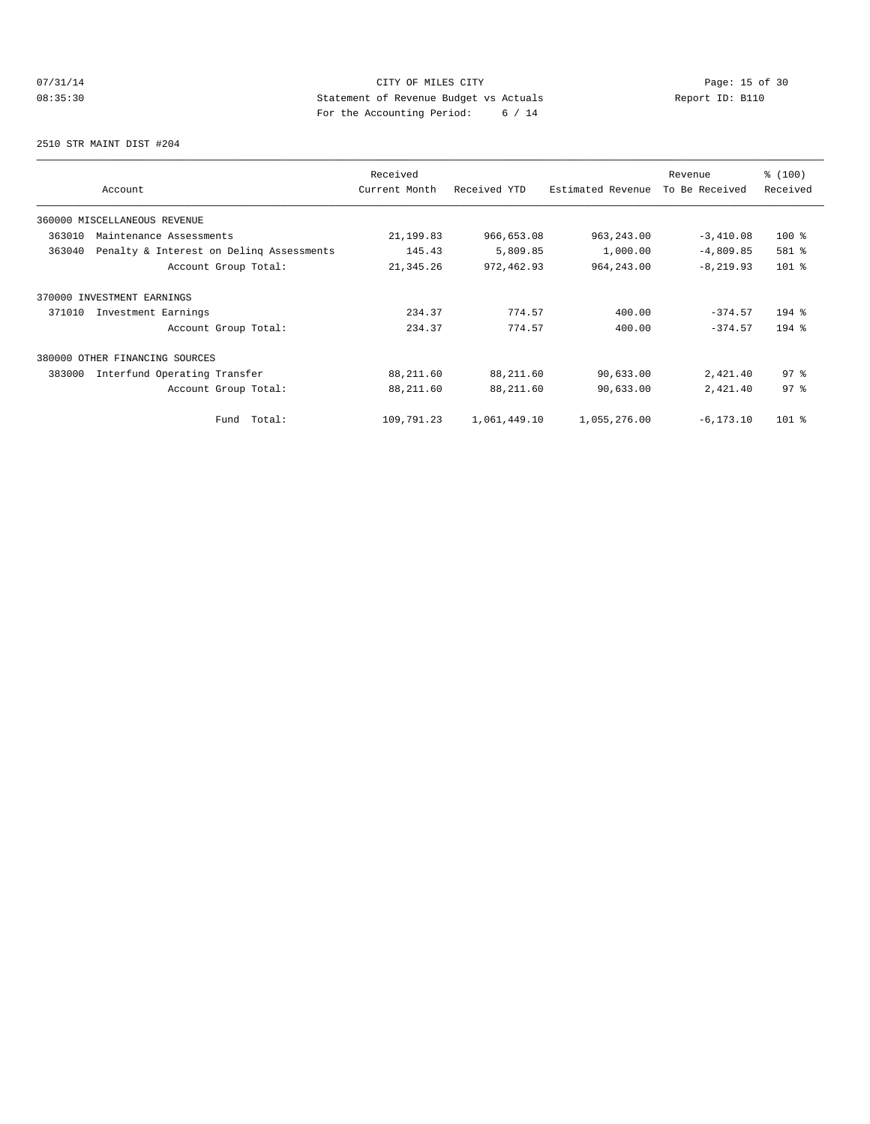# 07/31/14 Page: 15 of 30 08:35:30 Statement of Revenue Budget vs Actuals Report ID: B110 For the Accounting Period: 6 / 14

2510 STR MAINT DIST #204

| Account                                            | Received<br>Current Month | Received YTD | Estimated Revenue | Revenue<br>To Be Received | % (100)<br>Received |
|----------------------------------------------------|---------------------------|--------------|-------------------|---------------------------|---------------------|
| 360000 MISCELLANEOUS REVENUE                       |                           |              |                   |                           |                     |
| 363010<br>Maintenance Assessments                  | 21,199.83                 | 966,653.08   | 963, 243.00       | $-3,410.08$               | $100*$              |
| 363040<br>Penalty & Interest on Deling Assessments | 145.43                    | 5,809.85     | 1,000.00          | $-4,809.85$               | 581 %               |
| Account Group Total:                               | 21,345.26                 | 972,462.93   | 964, 243.00       | $-8, 219.93$              | $101$ %             |
| 370000 INVESTMENT EARNINGS                         |                           |              |                   |                           |                     |
| 371010<br>Investment Earnings                      | 234.37                    | 774.57       | 400.00            | $-374.57$                 | $194$ %             |
| Account Group Total:                               | 234.37                    | 774.57       | 400.00            | $-374.57$                 | $194$ %             |
| 380000 OTHER FINANCING SOURCES                     |                           |              |                   |                           |                     |
| 383000<br>Interfund Operating Transfer             | 88,211.60                 | 88,211.60    | 90,633.00         | 2,421.40                  | 97.8                |
| Account Group Total:                               | 88,211.60                 | 88,211.60    | 90,633.00         | 2,421.40                  | 97 <sup>8</sup>     |
| Total:<br>Fund                                     | 109,791.23                | 1,061,449.10 | 1,055,276.00      | $-6, 173.10$              | $101$ %             |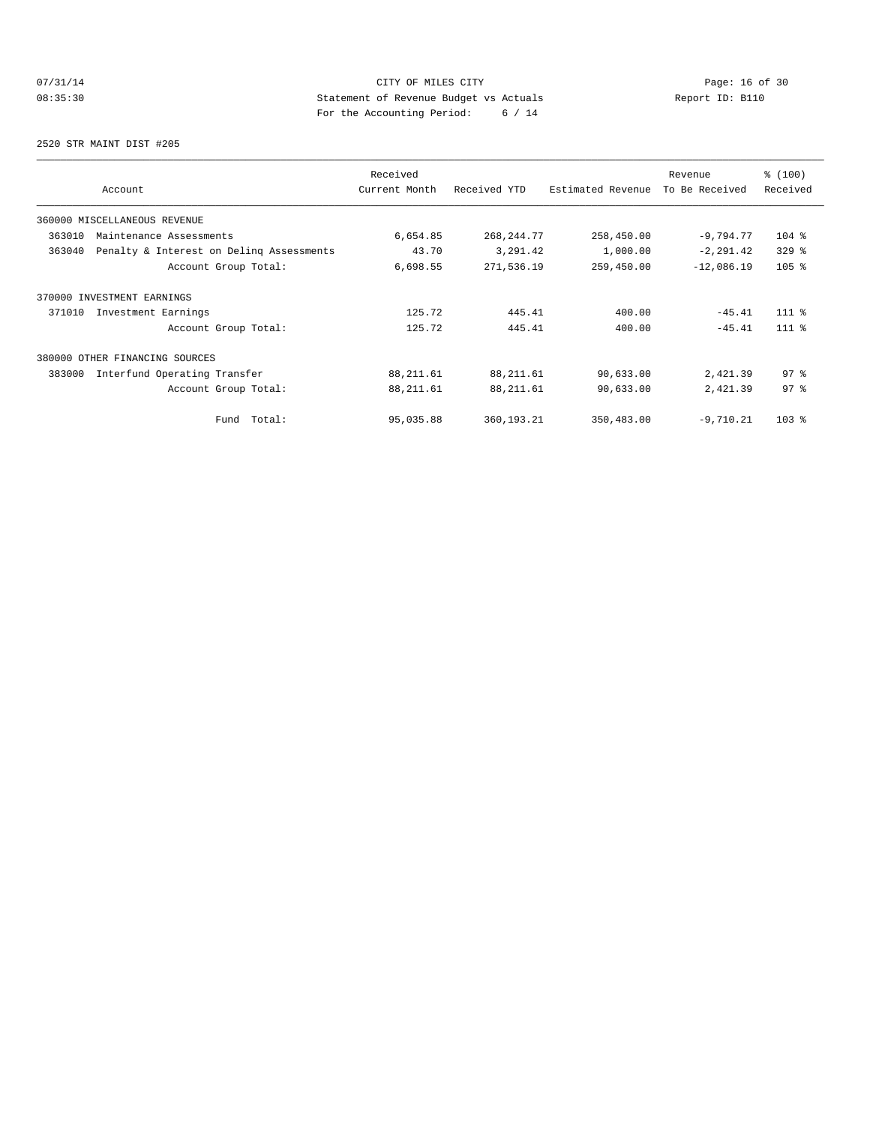# 07/31/14 Page: 16 of 30 08:35:30 Statement of Revenue Budget vs Actuals Report ID: B110 For the Accounting Period: 6 / 14

2520 STR MAINT DIST #205

| Account                                            | Received<br>Current Month | Received YTD | Estimated Revenue | Revenue<br>To Be Received | \$(100)<br>Received |
|----------------------------------------------------|---------------------------|--------------|-------------------|---------------------------|---------------------|
| 360000 MISCELLANEOUS REVENUE                       |                           |              |                   |                           |                     |
| 363010<br>Maintenance Assessments                  | 6,654.85                  | 268, 244. 77 | 258,450.00        | $-9.794.77$               | $104$ %             |
| 363040<br>Penalty & Interest on Deling Assessments | 43.70                     | 3,291.42     | 1,000.00          | $-2, 291.42$              | $329$ $%$           |
| Account Group Total:                               | 6,698.55                  | 271,536.19   | 259,450.00        | $-12,086.19$              | $105$ %             |
| 370000 INVESTMENT EARNINGS                         |                           |              |                   |                           |                     |
| 371010<br>Investment Earnings                      | 125.72                    | 445.41       | 400.00            | $-45.41$                  | $111$ $%$           |
| Account Group Total:                               | 125.72                    | 445.41       | 400.00            | $-45.41$                  | $111*$              |
| 380000 OTHER FINANCING SOURCES                     |                           |              |                   |                           |                     |
| Interfund Operating Transfer<br>383000             | 88, 211.61                | 88, 211.61   | 90,633.00         | 2,421.39                  | 97.8                |
| Account Group Total:                               | 88, 211.61                | 88, 211.61   | 90,633.00         | 2,421.39                  | 97 <sup>°</sup>     |
| Total:<br>Fund                                     | 95,035.88                 | 360,193.21   | 350,483.00        | $-9,710.21$               | 103 <sub>8</sub>    |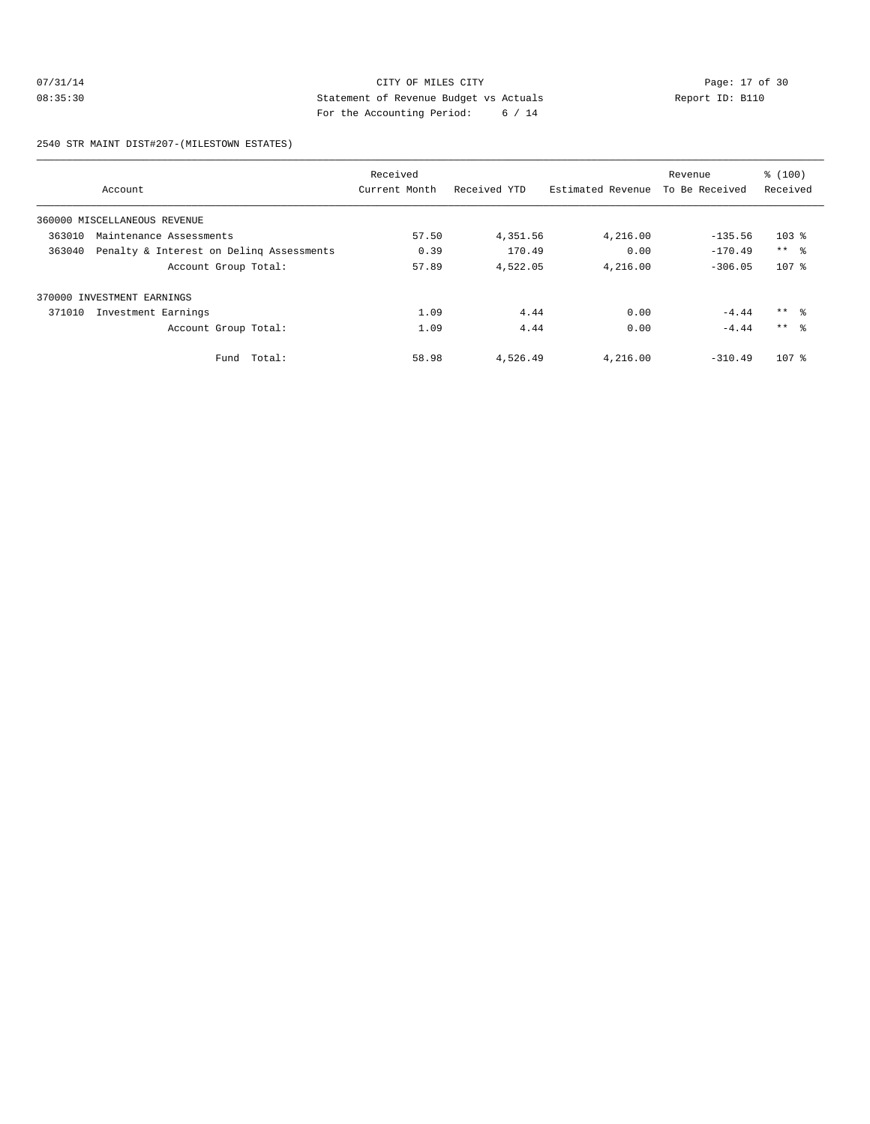# 07/31/14 Page: 17 of 30 08:35:30 Statement of Revenue Budget vs Actuals Report ID: B110 For the Accounting Period: 6 / 14

2540 STR MAINT DIST#207-(MILESTOWN ESTATES)

|        |                                          | Received      |              |                   | Revenue        | % (100)         |
|--------|------------------------------------------|---------------|--------------|-------------------|----------------|-----------------|
|        | Account                                  | Current Month | Received YTD | Estimated Revenue | To Be Received | Received        |
|        | 360000 MISCELLANEOUS REVENUE             |               |              |                   |                |                 |
| 363010 | Maintenance Assessments                  | 57.50         | 4,351.56     | 4,216.00          | $-135.56$      | $103$ %         |
| 363040 | Penalty & Interest on Deling Assessments | 0.39          | 170.49       | 0.00              | $-170.49$      | $***$ $ -$      |
|        | Account Group Total:                     | 57.89         | 4,522.05     | 4,216.00          | $-306.05$      | $107$ %         |
| 370000 | INVESTMENT EARNINGS                      |               |              |                   |                |                 |
| 371010 | Investment Earnings                      | 1.09          | 4.44         | 0.00              | $-4.44$        | $***$ $\approx$ |
|        | Account Group Total:                     | 1.09          | 4.44         | 0.00              | $-4.44$        | $***$ 8         |
|        | Fund Total:                              | 58.98         | 4,526.49     | 4,216.00          | $-310.49$      | $107$ %         |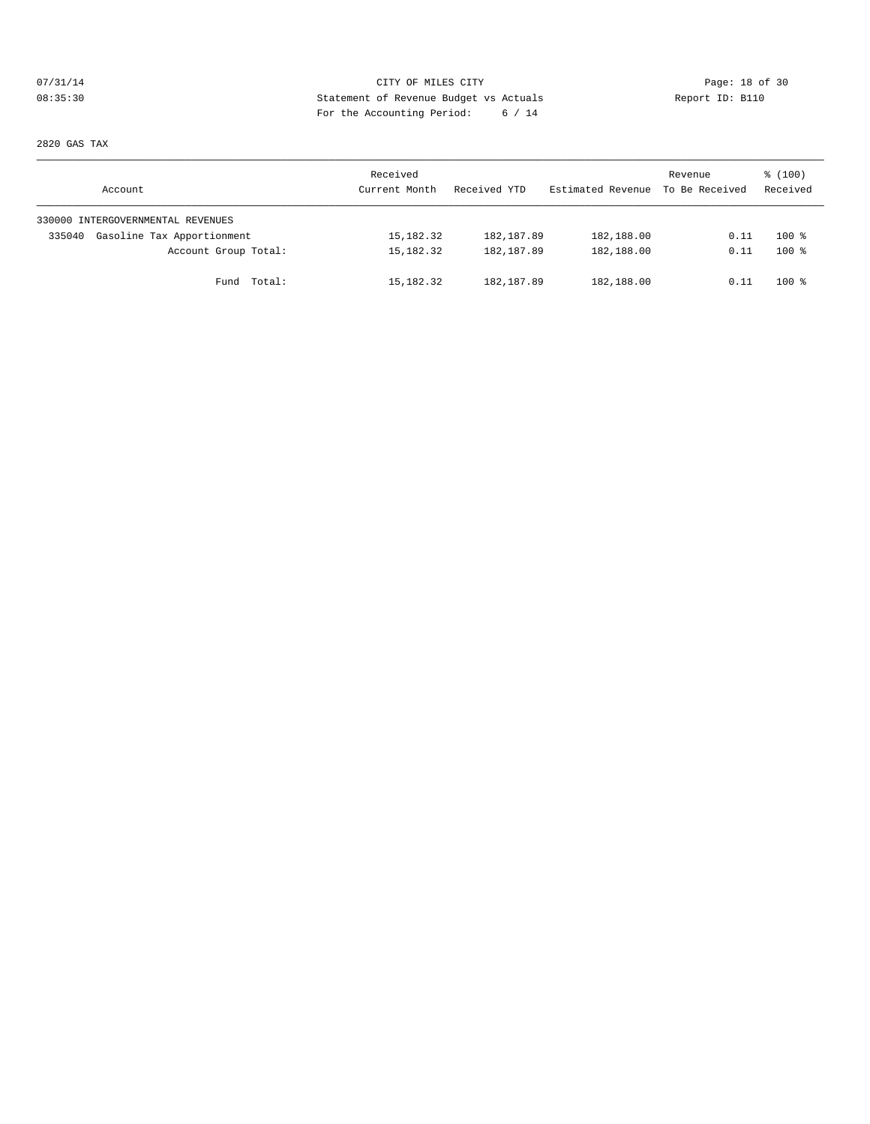# 07/31/14 Page: 18 of 30 08:35:30 Statement of Revenue Budget vs Actuals Report ID: B110 For the Accounting Period: 6 / 14

2820 GAS TAX

| Account                              | Received<br>Current Month | Received YTD | Estimated Revenue | Revenue<br>To Be Received | \$(100)<br>Received |
|--------------------------------------|---------------------------|--------------|-------------------|---------------------------|---------------------|
| 330000 INTERGOVERNMENTAL REVENUES    |                           |              |                   |                           |                     |
| Gasoline Tax Apportionment<br>335040 | 15,182.32                 | 182,187.89   | 182,188.00        | 0.11                      | $100*$              |
| Account Group Total:                 | 15,182.32                 | 182, 187.89  | 182,188.00        | 0.11                      | $100*$              |
| Fund Total:                          | 15,182.32                 | 182, 187.89  | 182,188.00        | 0.11                      | $100*$              |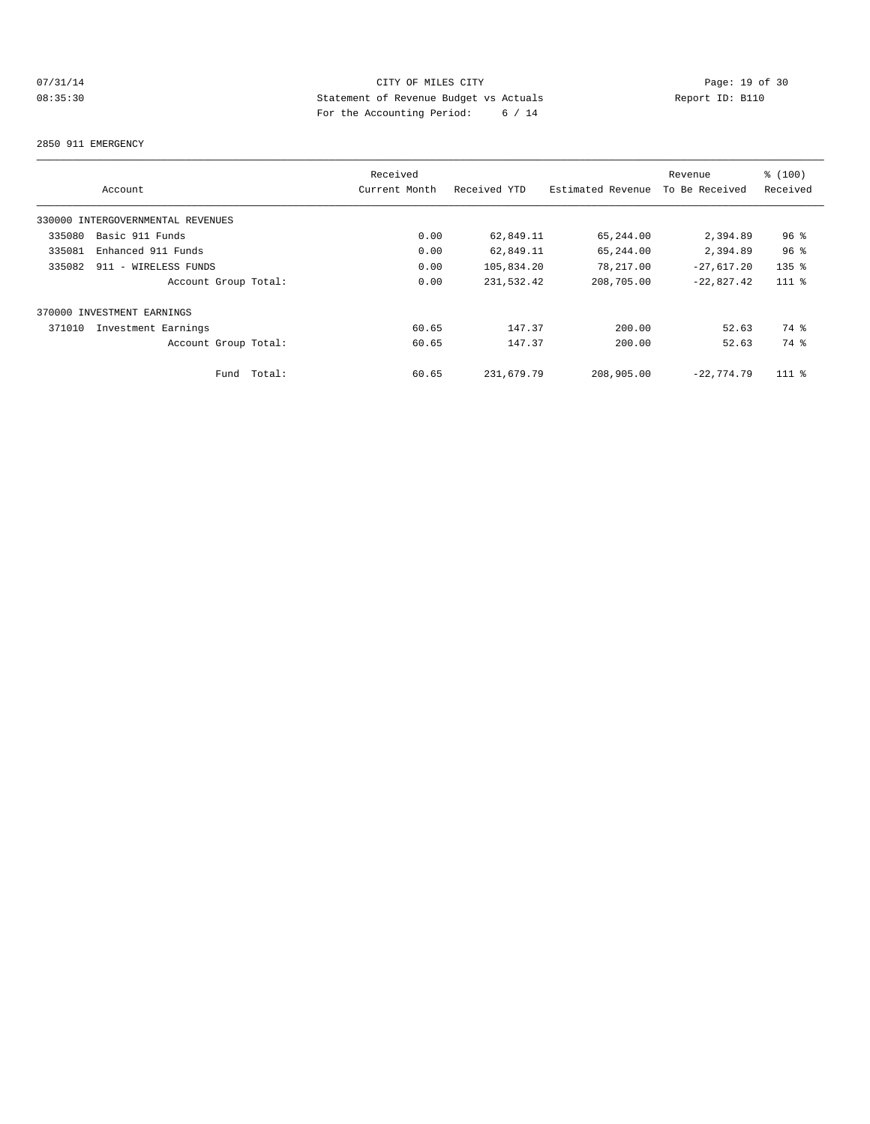# 07/31/14 Page: 19 of 30 08:35:30 Statement of Revenue Budget vs Actuals Report ID: B110 For the Accounting Period: 6 / 14

#### 2850 911 EMERGENCY

|                                   | Received        |              |                   | Revenue        | \$(100)         |
|-----------------------------------|-----------------|--------------|-------------------|----------------|-----------------|
| Account                           | Current Month   | Received YTD | Estimated Revenue | To Be Received | Received        |
| 330000 INTERGOVERNMENTAL REVENUES |                 |              |                   |                |                 |
| Basic 911 Funds<br>335080         | 0.00            | 62,849.11    | 65,244.00         | 2,394.89       | 96 <sup>°</sup> |
| 335081<br>Enhanced 911 Funds      | 0.00            | 62,849.11    | 65,244.00         | 2,394.89       | 96 <sup>°</sup> |
| 335082<br>911 - WIRELESS FUNDS    | 0.00            | 105,834.20   | 78,217.00         | $-27,617.20$   | $135$ $%$       |
| Account Group Total:              | 0.00            | 231,532.42   | 208,705.00        | $-22,827.42$   | $111$ %         |
| 370000 INVESTMENT EARNINGS        |                 |              |                   |                |                 |
| 371010<br>Investment Earnings     | 60.65           | 147.37       | 200.00            | 52.63          | 74 %            |
| Account Group Total:              | 60.65           | 147.37       | 200.00            | 52.63          | 74 %            |
| Fund                              | Total:<br>60.65 | 231,679.79   | 208,905.00        | $-22.774.79$   | $111$ %         |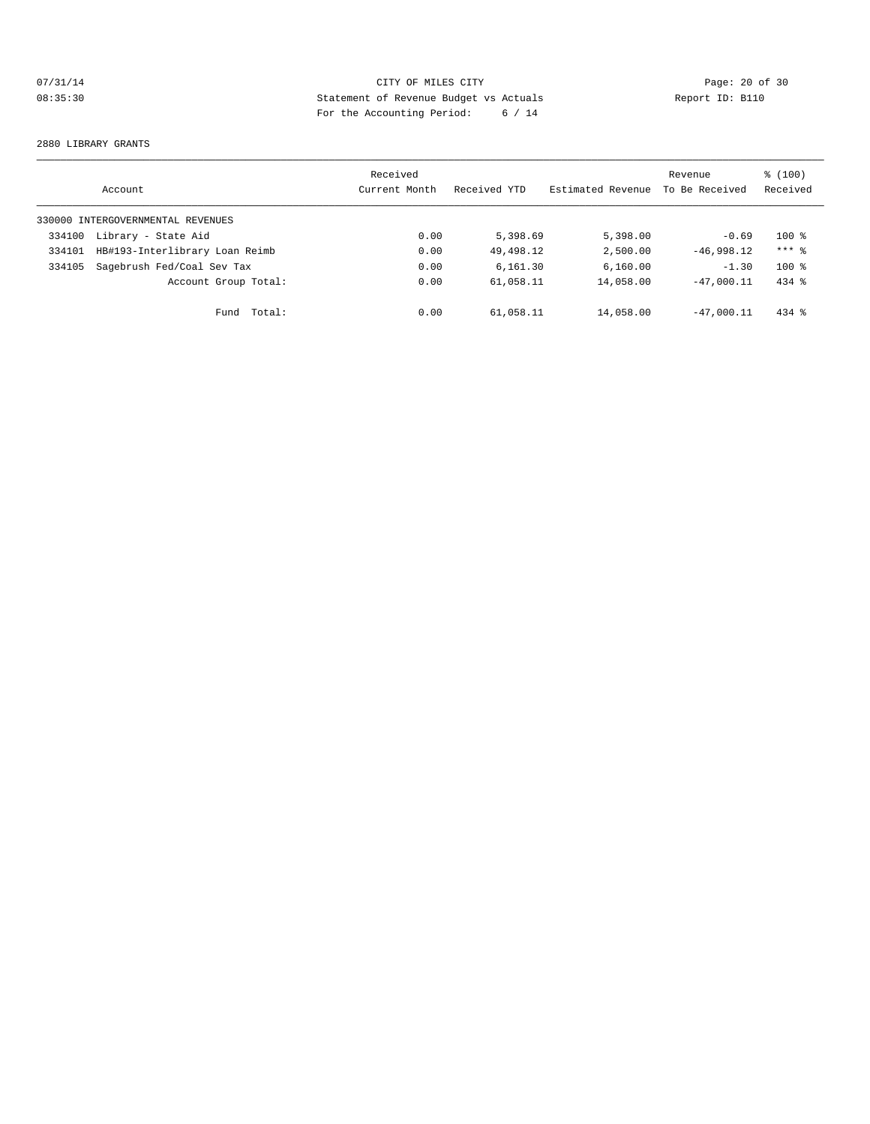# 07/31/14 Page: 20 of 30 08:35:30 Statement of Revenue Budget vs Actuals Report ID: B110 For the Accounting Period: 6 / 14

#### 2880 LIBRARY GRANTS

|        | Account                           | Received<br>Current Month | Received YTD | Estimated Revenue | Revenue<br>To Be Received | \$(100)<br>Received |
|--------|-----------------------------------|---------------------------|--------------|-------------------|---------------------------|---------------------|
|        | 330000 INTERGOVERNMENTAL REVENUES |                           |              |                   |                           |                     |
| 334100 | Library - State Aid               | 0.00                      | 5,398.69     | 5,398.00          | $-0.69$                   | $100*$              |
| 334101 | HB#193-Interlibrary Loan Reimb    | 0.00                      | 49,498.12    | 2,500.00          | $-46.998.12$              | $***$ 2             |
| 334105 | Sagebrush Fed/Coal Sev Tax        | 0.00                      | 6.161.30     | 6,160.00          | $-1.30$                   | $100*$              |
|        | Account Group Total:              | 0.00                      | 61,058.11    | 14,058.00         | $-47.000.11$              | $434$ $%$           |
|        | Total:<br>Fund                    | 0.00                      | 61,058.11    | 14,058.00         | $-47.000.11$              | $434$ $%$           |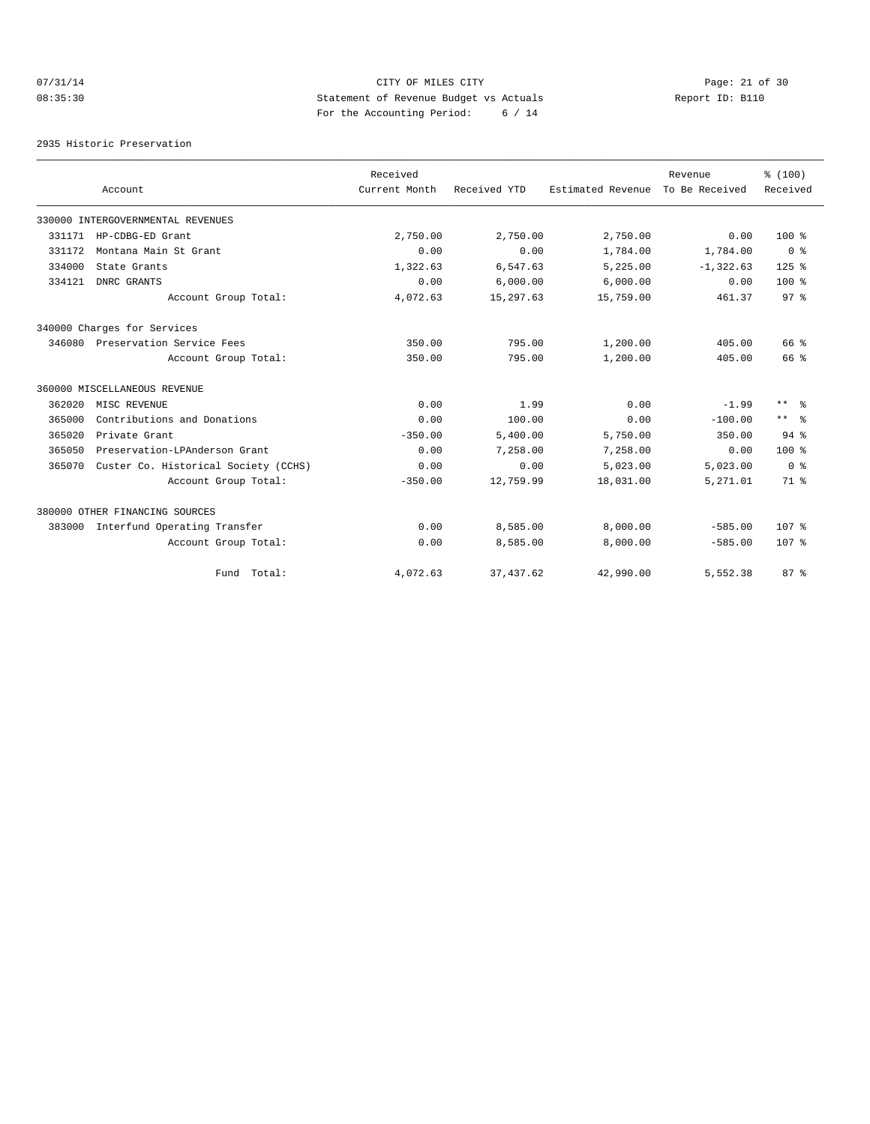# 07/31/14 Page: 21 of 30 08:35:30 Statement of Revenue Budget vs Actuals Report ID: B110 For the Accounting Period: 6 / 14

2935 Historic Preservation

|        | Account                              | Received<br>Current Month | Received YTD | Estimated Revenue | Revenue<br>To Be Received | % (100)<br>Received     |
|--------|--------------------------------------|---------------------------|--------------|-------------------|---------------------------|-------------------------|
|        |                                      |                           |              |                   |                           |                         |
|        | 330000 INTERGOVERNMENTAL REVENUES    |                           |              |                   |                           |                         |
| 331171 | HP-CDBG-ED Grant                     | 2,750.00                  | 2,750.00     | 2,750.00          | 0.00                      | $100*$                  |
| 331172 | Montana Main St Grant                | 0.00                      | 0.00         | 1,784.00          | 1,784.00                  | 0 <sup>8</sup>          |
| 334000 | State Grants                         | 1,322.63                  | 6,547.63     | 5,225.00          | $-1,322.63$               | $125$ %                 |
| 334121 | DNRC GRANTS                          | 0.00                      | 6.000.00     | 6.000.00          | 0.00                      | $100*$                  |
|        | Account Group Total:                 | 4,072.63                  | 15,297.63    | 15,759.00         | 461.37                    | 97 <sup>°</sup>         |
|        | 340000 Charges for Services          |                           |              |                   |                           |                         |
|        | 346080 Preservation Service Fees     | 350.00                    | 795.00       | 1,200.00          | 405.00                    | 66 %                    |
|        | Account Group Total:                 | 350.00                    | 795.00       | 1,200.00          | 405.00                    | 66 %                    |
|        | 360000 MISCELLANEOUS REVENUE         |                           |              |                   |                           |                         |
| 362020 | MISC REVENUE                         | 0.00                      | 1.99         | 0.00              | $-1.99$                   | $***$ $ -$              |
| 365000 | Contributions and Donations          | 0.00                      | 100.00       | 0.00              | $-100.00$                 | $***$ $ \frac{6}{9}$    |
| 365020 | Private Grant                        | $-350.00$                 | 5,400.00     | 5,750.00          | 350.00                    | $94$ $%$                |
| 365050 | Preservation-LPAnderson Grant        | 0.00                      | 7.258.00     | 7,258.00          | 0.00                      | $100*$                  |
| 365070 | Custer Co. Historical Society (CCHS) | 0.00                      | 0.00         | 5,023.00          | 5,023.00                  | $0 \text{ }$ $\text{ }$ |
|        | Account Group Total:                 | $-350.00$                 | 12,759.99    | 18,031.00         | 5,271.01                  | 71.8                    |
|        | 380000 OTHER FINANCING SOURCES       |                           |              |                   |                           |                         |
| 383000 | Interfund Operating Transfer         | 0.00                      | 8,585.00     | 8,000.00          | $-585.00$                 | 107 <sub>8</sub>        |
|        | Account Group Total:                 | 0.00                      | 8,585.00     | 8,000.00          | $-585.00$                 | 107 <sub>8</sub>        |
|        | Fund Total:                          | 4,072.63                  | 37, 437.62   | 42,990.00         | 5,552.38                  | 87%                     |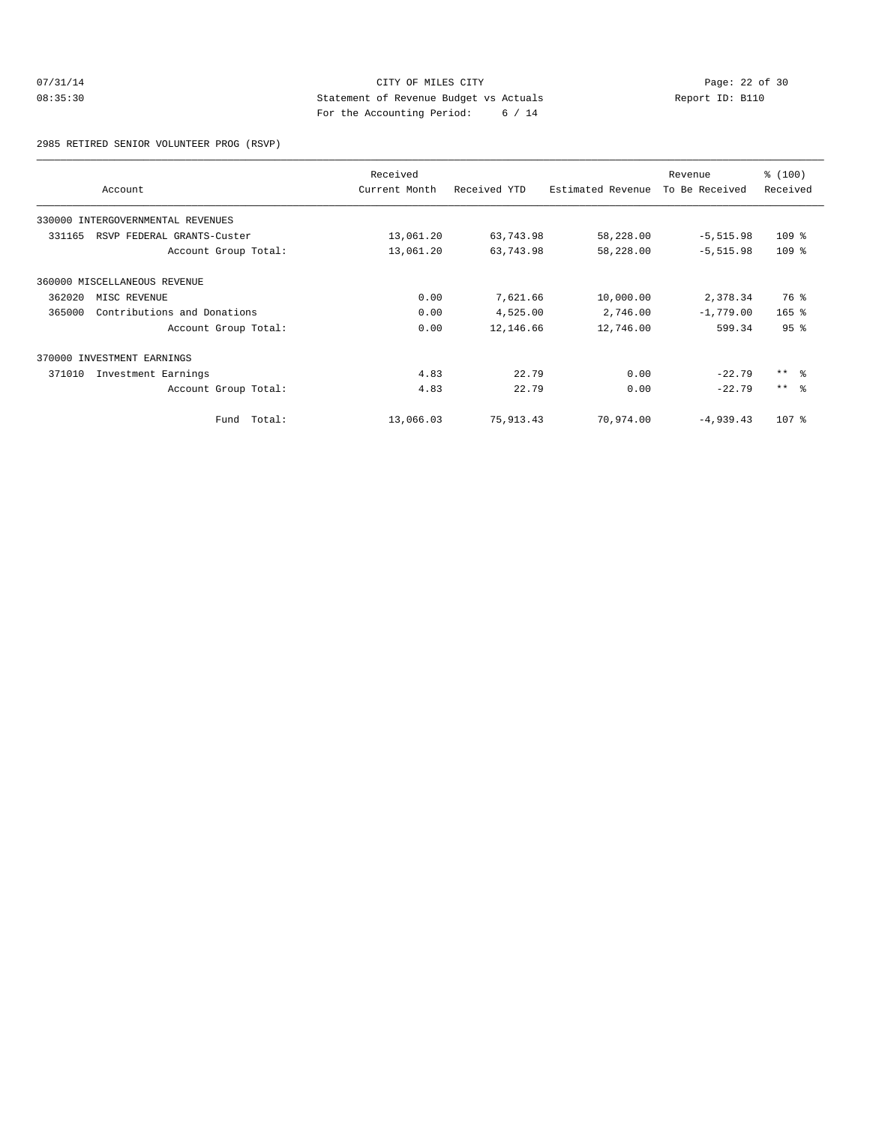# 07/31/14 Page: 22 of 30 08:35:30 Statement of Revenue Budget vs Actuals Report ID: B110 For the Accounting Period: 6 / 14

2985 RETIRED SENIOR VOLUNTEER PROG (RSVP)

|        | Account                           | Received<br>Current Month | Received YTD | Estimated Revenue | Revenue<br>To Be Received | % (100)<br>Received |
|--------|-----------------------------------|---------------------------|--------------|-------------------|---------------------------|---------------------|
|        | 330000 INTERGOVERNMENTAL REVENUES |                           |              |                   |                           |                     |
| 331165 | RSVP FEDERAL GRANTS-Custer        | 13,061.20                 | 63,743.98    | 58,228.00         | $-5, 515.98$              | $109$ %             |
|        | Account Group Total:              | 13,061.20                 | 63,743.98    | 58,228.00         | $-5, 515.98$              | $109$ %             |
|        | 360000 MISCELLANEOUS REVENUE      |                           |              |                   |                           |                     |
| 362020 | MISC REVENUE                      | 0.00                      | 7,621.66     | 10,000.00         | 2,378.34                  | 76 %                |
| 365000 | Contributions and Donations       | 0.00                      | 4,525.00     | 2,746.00          | $-1,779.00$               | $165$ %             |
|        | Account Group Total:              | 0.00                      | 12,146.66    | 12,746.00         | 599.34                    | 95 <sup>8</sup>     |
|        | 370000 INVESTMENT EARNINGS        |                           |              |                   |                           |                     |
| 371010 | Investment Earnings               | 4.83                      | 22.79        | 0.00              | $-22.79$                  | $***$ 8             |
|        | Account Group Total:              | 4.83                      | 22.79        | 0.00              | $-22.79$                  | $***$ $ -$          |
|        | Fund Total:                       | 13,066.03                 | 75,913.43    | 70,974.00         | $-4,939.43$               | 107 %               |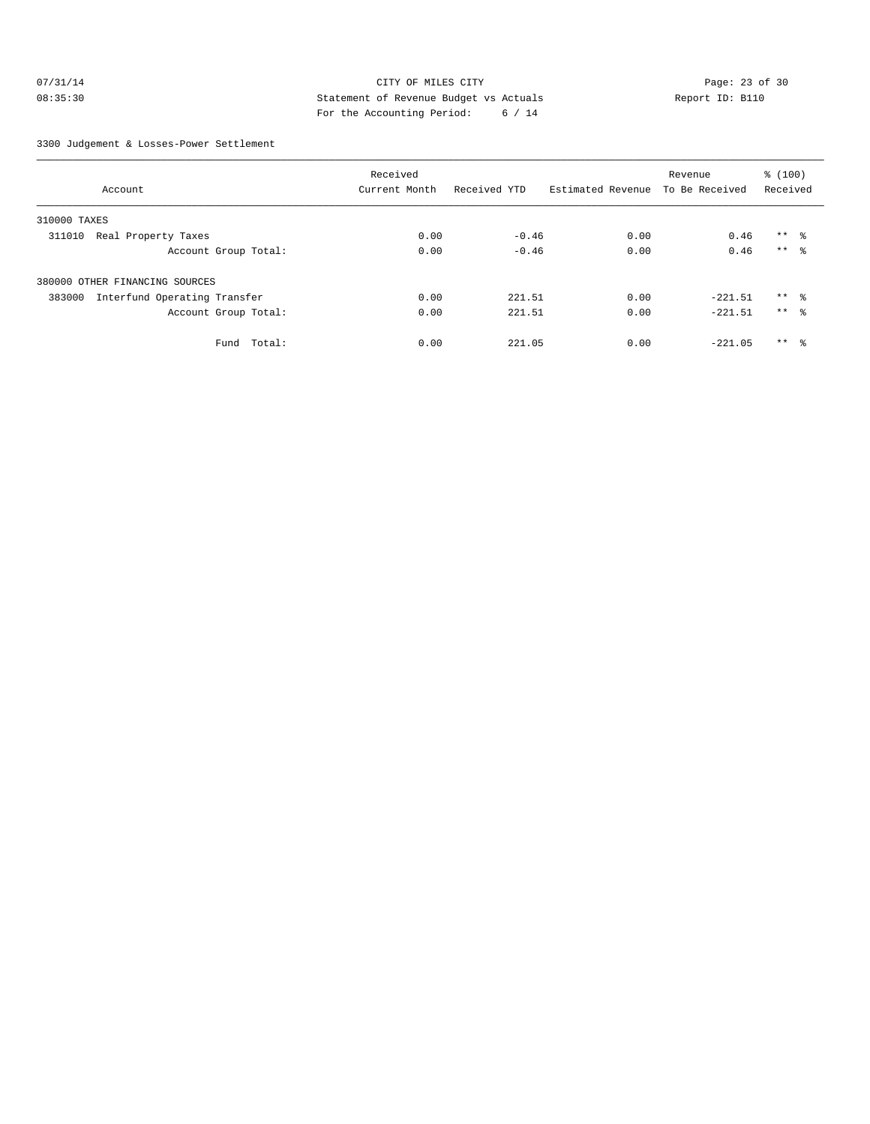# 07/31/14 Page: 23 of 30 08:35:30 Statement of Revenue Budget vs Actuals Report ID: B110 For the Accounting Period: 6 / 14

3300 Judgement & Losses-Power Settlement

|                                        | Received      |              |                   | Revenue        | \$(100)         |  |
|----------------------------------------|---------------|--------------|-------------------|----------------|-----------------|--|
| Account                                | Current Month | Received YTD | Estimated Revenue | To Be Received | Received        |  |
| 310000 TAXES                           |               |              |                   |                |                 |  |
| Real Property Taxes<br>311010          | 0.00          | $-0.46$      | 0.00              | 0.46           | $***$ $\approx$ |  |
| Account Group Total:                   | 0.00          | $-0.46$      | 0.00              | 0.46           | $***$ 8         |  |
| 380000 OTHER FINANCING SOURCES         |               |              |                   |                |                 |  |
| Interfund Operating Transfer<br>383000 | 0.00          | 221.51       | 0.00              | $-221.51$      | $***$ $\approx$ |  |
| Account Group Total:                   | 0.00          | 221.51       | 0.00              | $-221.51$      | $***$ $\approx$ |  |
| Fund<br>Total:                         | 0.00          | 221.05       | 0.00              | $-221.05$      | $***$ $\approx$ |  |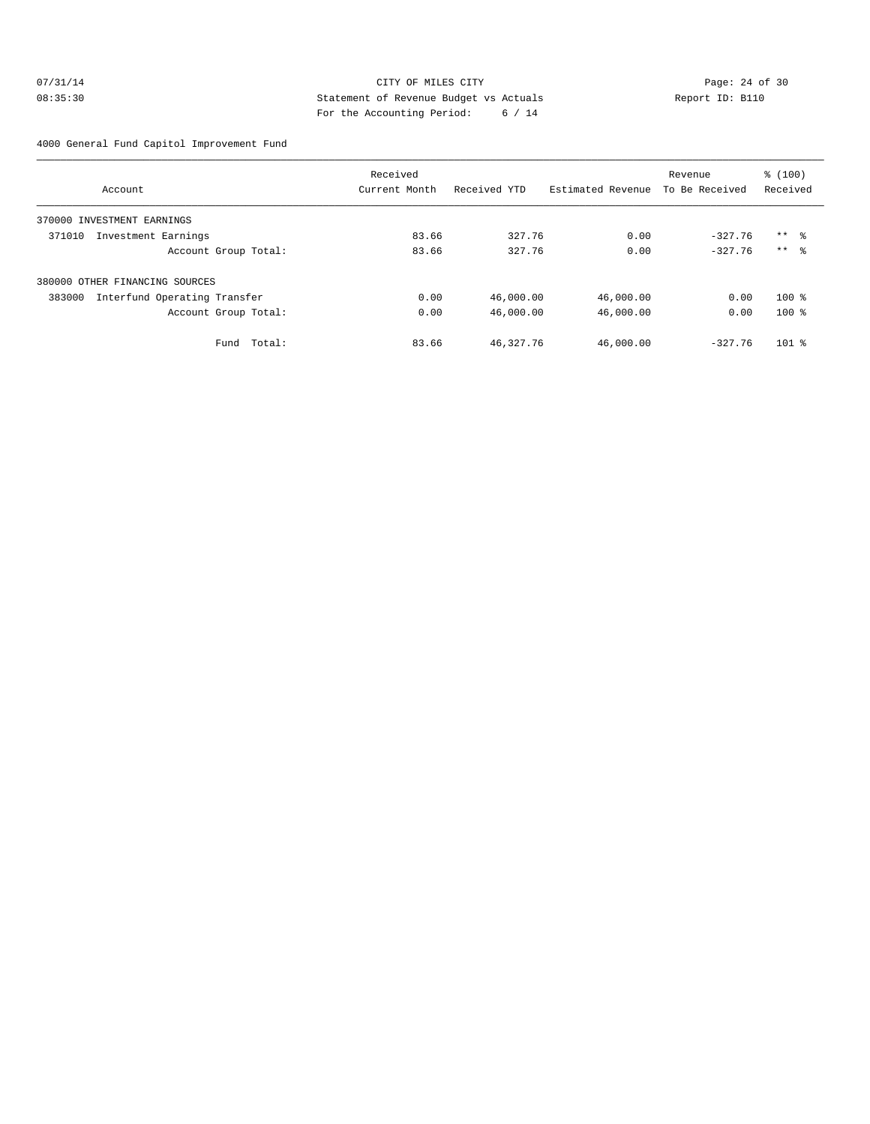#### 07/31/14 Page: 24 of 30 08:35:30 Statement of Revenue Budget vs Actuals Report ID: B110 For the Accounting Period: 6 / 14

4000 General Fund Capitol Improvement Fund

|                                        | Received      |              |                   | Revenue        | % (100)             |
|----------------------------------------|---------------|--------------|-------------------|----------------|---------------------|
| Account                                | Current Month | Received YTD | Estimated Revenue | To Be Received | Received            |
| 370000 INVESTMENT EARNINGS             |               |              |                   |                |                     |
| 371010<br>Investment Earnings          | 83.66         | 327.76       | 0.00              | $-327.76$      | $***$ $\frac{6}{5}$ |
| Account Group Total:                   | 83.66         | 327.76       | 0.00              | $-327.76$      | $***$ $\approx$     |
| 380000 OTHER FINANCING SOURCES         |               |              |                   |                |                     |
| Interfund Operating Transfer<br>383000 | 0.00          | 46,000.00    | 46,000.00         | 0.00           | $100*$              |
| Account Group Total:                   | 0.00          | 46,000.00    | 46,000.00         | 0.00           | $100*$              |
| Total:<br>Fund                         | 83.66         | 46,327.76    | 46,000.00         | $-327.76$      | $101$ %             |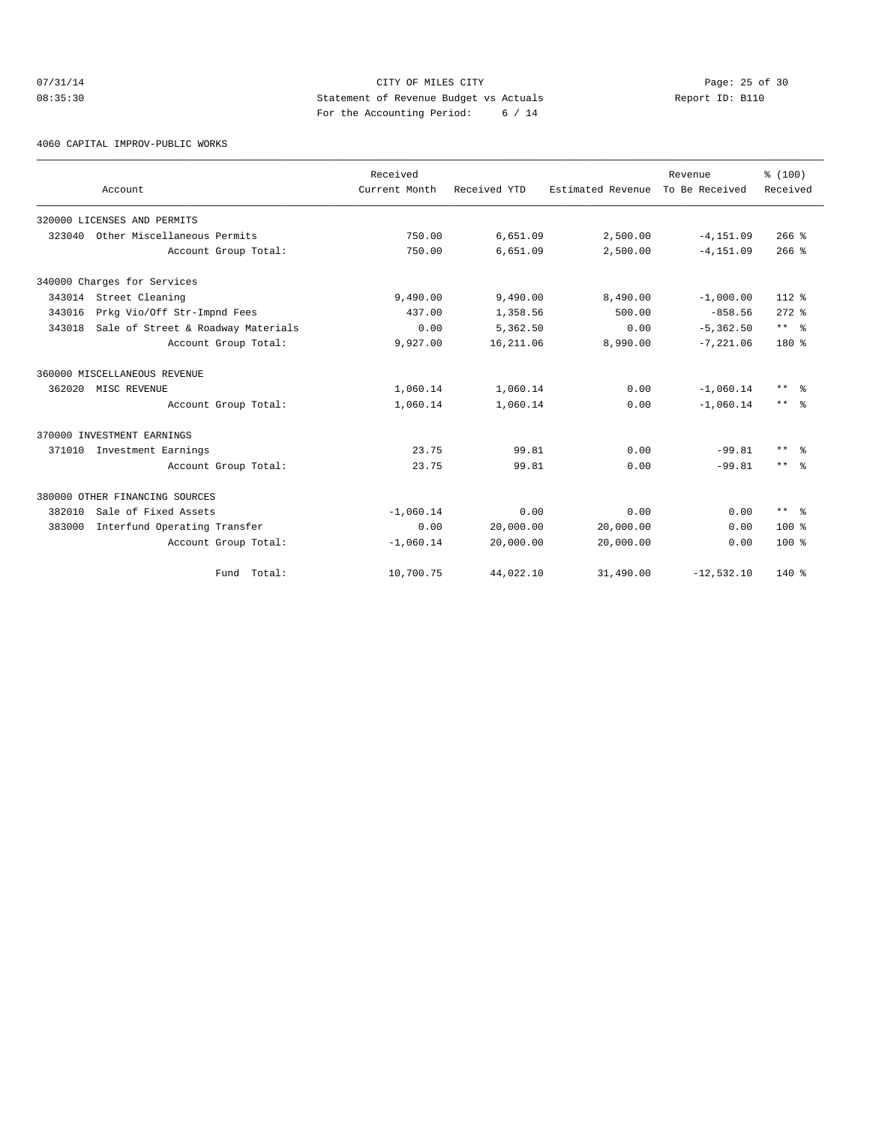# 07/31/14 Page: 25 of 30 08:35:30 Statement of Revenue Budget vs Actuals Report ID: B110 For the Accounting Period: 6 / 14

4060 CAPITAL IMPROV-PUBLIC WORKS

|        |                                    | Received      |              |                   | Revenue        | % (100)                 |
|--------|------------------------------------|---------------|--------------|-------------------|----------------|-------------------------|
|        | Account                            | Current Month | Received YTD | Estimated Revenue | To Be Received | Received                |
|        | 320000 LICENSES AND PERMITS        |               |              |                   |                |                         |
| 323040 | Other Miscellaneous Permits        | 750.00        | 6,651.09     | 2,500.00          | $-4, 151.09$   | $266$ %                 |
|        | Account Group Total:               | 750.00        | 6,651.09     | 2,500.00          | $-4, 151.09$   | $266$ $\frac{6}{3}$     |
|        | 340000 Charges for Services        |               |              |                   |                |                         |
|        | 343014 Street Cleaning             | 9,490.00      | 9,490.00     | 8,490.00          | $-1,000.00$    | 112 %                   |
| 343016 | Prkg Vio/Off Str-Impnd Fees        | 437.00        | 1,358.56     | 500.00            | $-858.56$      | $272$ $%$               |
| 343018 | Sale of Street & Roadway Materials | 0.00          | 5,362.50     | 0.00              | $-5, 362.50$   | $***$ $ \frac{6}{9}$    |
|        | Account Group Total:               | 9,927.00      | 16,211.06    | 8,990.00          | $-7, 221.06$   | $180*$                  |
|        | 360000 MISCELLANEOUS REVENUE       |               |              |                   |                |                         |
| 362020 | MISC REVENUE                       | 1,060.14      | 1,060.14     | 0.00              | $-1,060.14$    | $***$ %                 |
|        | Account Group Total:               | 1,060.14      | 1,060.14     | 0.00              | $-1,060.14$    | $***$ $ \frac{6}{6}$    |
|        | 370000 INVESTMENT EARNINGS         |               |              |                   |                |                         |
| 371010 | Investment Earnings                | 23.75         | 99.81        | 0.00              | $-99.81$       | $***$ $%$               |
|        | Account Group Total:               | 23.75         | 99.81        | 0.00              | $-99.81$       | $***$ $ -$              |
|        | 380000 OTHER FINANCING SOURCES     |               |              |                   |                |                         |
| 382010 | Sale of Fixed Assets               | $-1,060.14$   | 0.00         | 0.00              | 0.00           | $***$ $=$ $\frac{6}{5}$ |
| 383000 | Interfund Operating Transfer       | 0.00          | 20,000.00    | 20,000.00         | 0.00           | $100*$                  |
|        | Account Group Total:               | $-1,060.14$   | 20,000.00    | 20,000.00         | 0.00           | $100*$                  |
|        | Fund Total:                        | 10,700.75     | 44,022.10    | 31,490.00         | $-12,532.10$   | $140*$                  |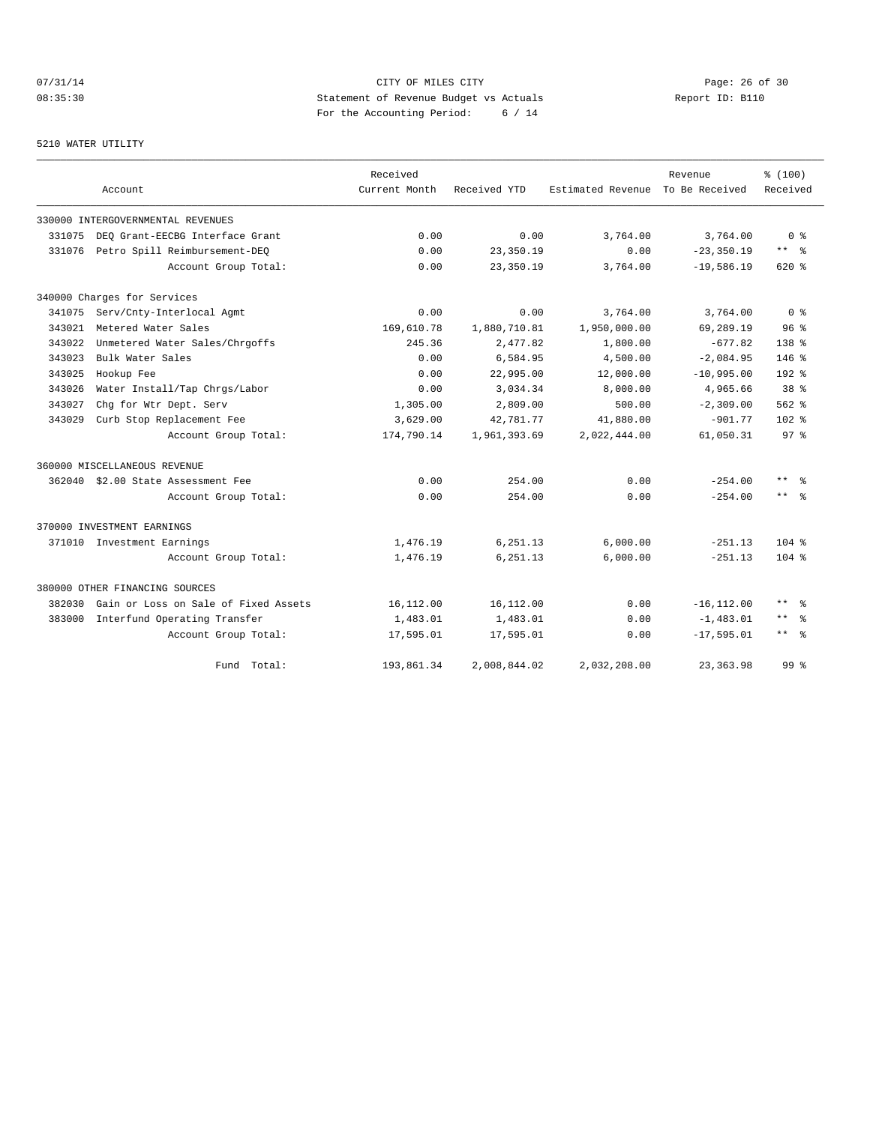# 07/31/14 Page: 26 of 30 08:35:30 Statement of Revenue Budget vs Actuals Report ID: B110 For the Accounting Period: 6 / 14

#### 5210 WATER UTILITY

|        |                                      | Received      |              |                                  | Revenue       | % (100)         |
|--------|--------------------------------------|---------------|--------------|----------------------------------|---------------|-----------------|
|        | Account                              | Current Month | Received YTD | Estimated Revenue To Be Received |               | Received        |
|        | 330000 INTERGOVERNMENTAL REVENUES    |               |              |                                  |               |                 |
| 331075 | DEO Grant-EECBG Interface Grant      | 0.00          | 0.00         | 3,764.00                         | 3,764.00      | 0 <sup>8</sup>  |
| 331076 | Petro Spill Reimbursement-DEO        | 0.00          | 23,350.19    | 0.00                             | $-23, 350.19$ | $***$ %         |
|        | Account Group Total:                 | 0.00          | 23,350.19    | 3,764.00                         | $-19,586.19$  | 620 %           |
|        | 340000 Charges for Services          |               |              |                                  |               |                 |
| 341075 | Serv/Cnty-Interlocal Agmt            | 0.00          | 0.00         | 3,764.00                         | 3,764.00      | 0 <sup>8</sup>  |
| 343021 | Metered Water Sales                  | 169,610.78    | 1,880,710.81 | 1,950,000.00                     | 69,289.19     | 96 <sup>8</sup> |
| 343022 | Unmetered Water Sales/Chrgoffs       | 245.36        | 2,477.82     | 1,800.00                         | $-677.82$     | $138*$          |
| 343023 | Bulk Water Sales                     | 0.00          | 6,584.95     | 4,500.00                         | $-2,084.95$   | $146$ %         |
| 343025 | Hookup Fee                           | 0.00          | 22,995.00    | 12,000.00                        | $-10,995.00$  | $192$ %         |
| 343026 | Water Install/Tap Chrgs/Labor        | 0.00          | 3,034.34     | 8,000.00                         | 4,965.66      | 38 <sup>8</sup> |
| 343027 | Chg for Wtr Dept. Serv               | 1,305.00      | 2,809.00     | 500.00                           | $-2,309.00$   | $562$ %         |
| 343029 | Curb Stop Replacement Fee            | 3,629.00      | 42,781.77    | 41,880.00                        | $-901.77$     | $102$ %         |
|        | Account Group Total:                 | 174,790.14    | 1,961,393.69 | 2,022,444.00                     | 61,050.31     | 97 <sup>°</sup> |
|        | 360000 MISCELLANEOUS REVENUE         |               |              |                                  |               |                 |
|        | 362040 \$2.00 State Assessment Fee   | 0.00          | 254.00       | 0.00                             | $-254.00$     | $***$ %         |
|        | Account Group Total:                 | 0.00          | 254.00       | 0.00                             | $-254.00$     | $***$ 8         |
|        | 370000 INVESTMENT EARNINGS           |               |              |                                  |               |                 |
|        | 371010 Investment Earnings           | 1,476.19      | 6,251.13     | 6,000.00                         | $-251.13$     | $104$ %         |
|        | Account Group Total:                 | 1,476.19      | 6,251.13     | 6,000.00                         | $-251.13$     | $104$ %         |
|        | 380000 OTHER FINANCING SOURCES       |               |              |                                  |               |                 |
| 382030 | Gain or Loss on Sale of Fixed Assets | 16,112.00     | 16,112.00    | 0.00                             | $-16, 112.00$ | $***$<br>- 옹    |
| 383000 | Interfund Operating Transfer         | 1,483.01      | 1,483.01     | 0.00                             | $-1,483.01$   | $***$<br>- 옹    |
|        | Account Group Total:                 | 17,595.01     | 17,595.01    | 0.00                             | $-17,595.01$  | $***$ $ -$      |
|        | Fund<br>Total:                       | 193,861.34    | 2,008,844.02 | 2,032,208.00                     | 23, 363.98    | 99.8            |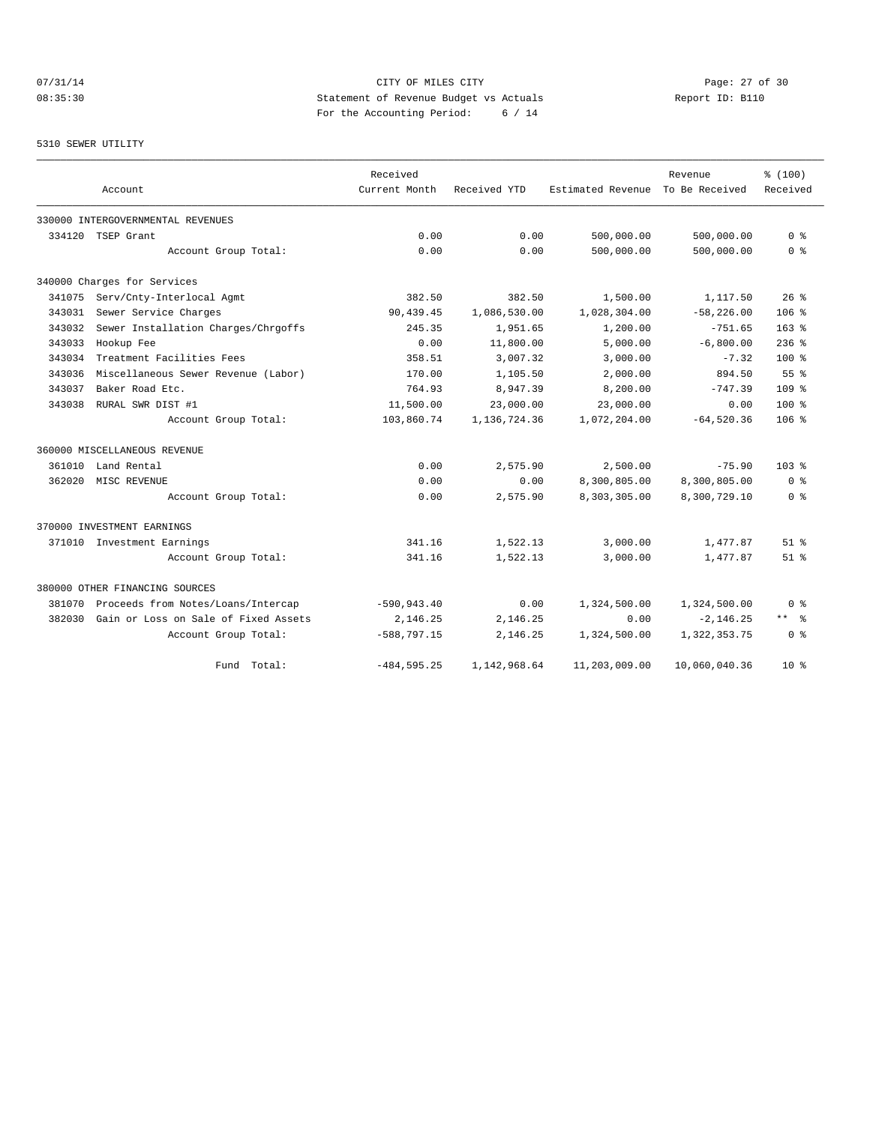#### 07/31/14 Page: 27 of 30 08:35:30 Statement of Revenue Budget vs Actuals Report ID: B110 For the Accounting Period: 6 / 14

#### 5310 SEWER UTILITY

|        |                                      | Received       |                |                   | Revenue        | % (100)          |
|--------|--------------------------------------|----------------|----------------|-------------------|----------------|------------------|
|        | Account                              | Current Month  | Received YTD   | Estimated Revenue | To Be Received | Received         |
|        | 330000 INTERGOVERNMENTAL REVENUES    |                |                |                   |                |                  |
| 334120 | TSEP Grant                           | 0.00           | 0.00           | 500,000.00        | 500,000.00     | 0 <sup>8</sup>   |
|        | Account Group Total:                 | 0.00           | 0.00           | 500,000.00        | 500,000.00     | 0 <sup>8</sup>   |
|        | 340000 Charges for Services          |                |                |                   |                |                  |
| 341075 | Serv/Cnty-Interlocal Agmt            | 382.50         | 382.50         | 1,500.00          | 1,117.50       | 26%              |
| 343031 | Sewer Service Charges                | 90,439.45      | 1,086,530.00   | 1,028,304.00      | $-58, 226.00$  | 106 <sup>°</sup> |
| 343032 | Sewer Installation Charges/Chrgoffs  | 245.35         | 1,951.65       | 1,200.00          | $-751.65$      | 163 <sup>8</sup> |
| 343033 | Hookup Fee                           | 0.00           | 11,800.00      | 5,000.00          | $-6,800.00$    | $236$ %          |
| 343034 | Treatment Facilities Fees            | 358.51         | 3,007.32       | 3,000.00          | $-7.32$        | $100*$           |
| 343036 | Miscellaneous Sewer Revenue (Labor)  | 170.00         | 1,105.50       | 2,000.00          | 894.50         | 55 <sup>8</sup>  |
| 343037 | Baker Road Etc.                      | 764.93         | 8.947.39       | 8,200.00          | $-747.39$      | $109$ $*$        |
| 343038 | RURAL SWR DIST #1                    | 11,500.00      | 23,000.00      | 23,000.00         | 0.00           | $100*$           |
|        | Account Group Total:                 | 103,860.74     | 1, 136, 724.36 | 1,072,204.00      | $-64,520.36$   | 106 <sup>°</sup> |
|        | 360000 MISCELLANEOUS REVENUE         |                |                |                   |                |                  |
| 361010 | Land Rental                          | 0.00           | 2,575.90       | 2.500.00          | $-75.90$       | $103*$           |
| 362020 | MISC REVENUE                         | 0.00           | 0.00           | 8,300,805.00      | 8,300,805.00   | 0 <sup>8</sup>   |
|        | Account Group Total:                 | 0.00           | 2,575.90       | 8,303,305.00      | 8,300,729.10   | 0 <sup>8</sup>   |
|        | 370000 INVESTMENT EARNINGS           |                |                |                   |                |                  |
|        | 371010 Investment Earnings           | 341.16         | 1,522.13       | 3,000.00          | 1,477.87       | $51$ $%$         |
|        | Account Group Total:                 | 341.16         | 1,522.13       | 3,000.00          | 1,477.87       | $51$ $%$         |
|        | 380000 OTHER FINANCING SOURCES       |                |                |                   |                |                  |
| 381070 | Proceeds from Notes/Loans/Intercap   | $-590, 943.40$ | 0.00           | 1,324,500.00      | 1,324,500.00   | 0 <sup>8</sup>   |
| 382030 | Gain or Loss on Sale of Fixed Assets | 2,146.25       | 2,146.25       | 0.00              | $-2, 146.25$   | $***$ 8          |
|        | Account Group Total:                 | $-588,797.15$  | 2,146.25       | 1,324,500.00      | 1,322,353.75   | 0 <sup>8</sup>   |
|        | Fund Total:                          | $-484, 595.25$ | 1,142,968.64   | 11,203,009.00     | 10,060,040.36  | $10*$            |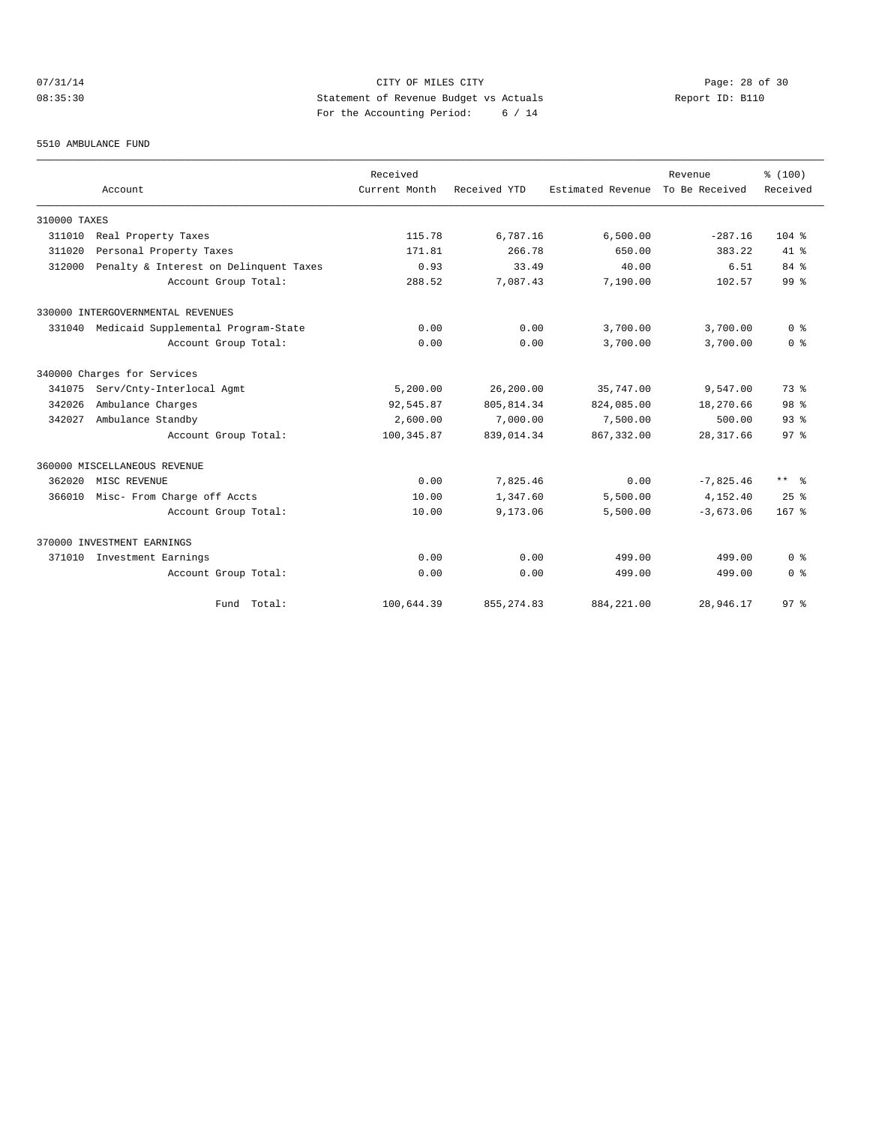# 07/31/14 Page: 28 of 30 08:35:30 Statement of Revenue Budget vs Actuals Report ID: B110 For the Accounting Period: 6 / 14

#### 5510 AMBULANCE FUND

|              | Account                                    | Received<br>Current Month | Received YTD | Estimated Revenue | Revenue<br>To Be Received | % (100)<br>Received  |
|--------------|--------------------------------------------|---------------------------|--------------|-------------------|---------------------------|----------------------|
| 310000 TAXES |                                            |                           |              |                   |                           |                      |
| 311010       | Real Property Taxes                        | 115.78                    | 6,787.16     | 6,500.00          | $-287.16$                 | $104$ %              |
| 311020       | Personal Property Taxes                    | 171.81                    | 266.78       | 650.00            | 383.22                    | $41*$                |
| 312000       | Penalty & Interest on Delinquent Taxes     | 0.93                      | 33.49        | 40.00             | 6.51                      | 84 %                 |
|              | Account Group Total:                       | 288.52                    | 7,087.43     | 7,190.00          | 102.57                    | 99 <sup>8</sup>      |
|              | 330000 INTERGOVERNMENTAL REVENUES          |                           |              |                   |                           |                      |
|              | 331040 Medicaid Supplemental Program-State | 0.00                      | 0.00         | 3,700.00          | 3,700.00                  | 0 <sup>8</sup>       |
|              | Account Group Total:                       | 0.00                      | 0.00         | 3,700.00          | 3,700.00                  | 0 <sup>8</sup>       |
|              | 340000 Charges for Services                |                           |              |                   |                           |                      |
| 341075       | Serv/Cnty-Interlocal Agmt                  | 5,200.00                  | 26,200.00    | 35,747.00         | 9,547.00                  | 73.8                 |
| 342026       | Ambulance Charges                          | 92,545.87                 | 805, 814.34  | 824,085.00        | 18,270.66                 | 98 %                 |
| 342027       | Ambulance Standby                          | 2,600.00                  | 7,000.00     | 7,500.00          | 500.00                    | 93 <sup>8</sup>      |
|              | Account Group Total:                       | 100, 345.87               | 839,014.34   | 867, 332, 00      | 28, 317.66                | 97 <sup>8</sup>      |
|              | 360000 MISCELLANEOUS REVENUE               |                           |              |                   |                           |                      |
| 362020       | MISC REVENUE                               | 0.00                      | 7,825.46     | 0.00              | $-7.825.46$               | $***$ $ \frac{6}{9}$ |
| 366010       | Misc- From Charge off Accts                | 10.00                     | 1,347.60     | 5,500.00          | 4,152.40                  | 25%                  |
|              | Account Group Total:                       | 10.00                     | 9,173.06     | 5,500.00          | $-3,673.06$               | $167$ %              |
|              | 370000 INVESTMENT EARNINGS                 |                           |              |                   |                           |                      |
| 371010       | Investment Earnings                        | 0.00                      | 0.00         | 499.00            | 499.00                    | 0 <sup>8</sup>       |
|              | Account Group Total:                       | 0.00                      | 0.00         | 499.00            | 499.00                    | 0 <sup>8</sup>       |
|              | Fund Total:                                | 100,644.39                | 855, 274.83  | 884, 221.00       | 28,946.17                 | 97%                  |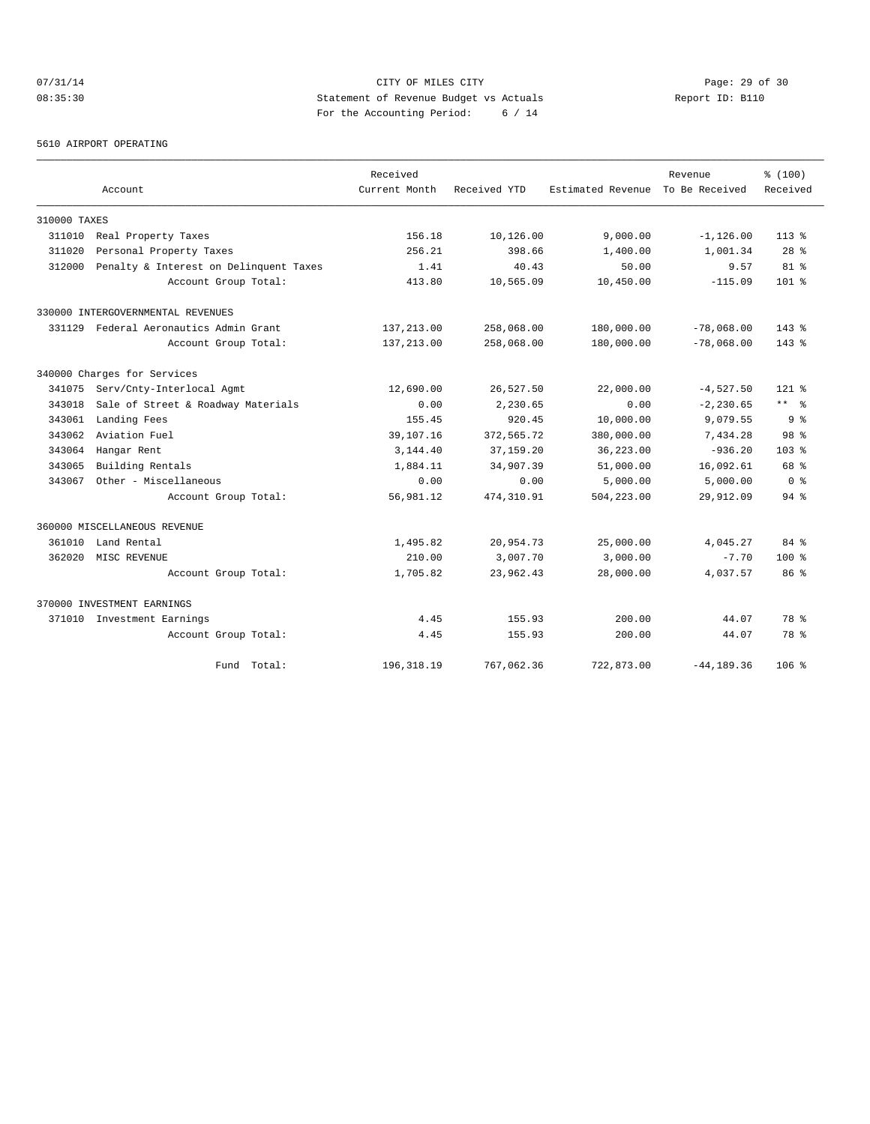# 07/31/14 Page: 29 of 30 08:35:30 Statement of Revenue Budget vs Actuals Report ID: B110 For the Accounting Period: 6 / 14

5610 AIRPORT OPERATING

|              |                                        | Received      |              |                   | Revenue        | % (100)              |
|--------------|----------------------------------------|---------------|--------------|-------------------|----------------|----------------------|
|              | Account                                | Current Month | Received YTD | Estimated Revenue | To Be Received | Received             |
| 310000 TAXES |                                        |               |              |                   |                |                      |
| 311010       | Real Property Taxes                    | 156.18        | 10,126.00    | 9,000.00          | $-1, 126.00$   | $113*$               |
| 311020       | Personal Property Taxes                | 256.21        | 398.66       | 1,400.00          | 1,001.34       | 28 <sup>8</sup>      |
| 312000       | Penalty & Interest on Delinquent Taxes | 1.41          | 40.43        | 50.00             | 9.57           | $81$ %               |
|              | Account Group Total:                   | 413.80        | 10,565.09    | 10,450.00         | $-115.09$      | $101$ %              |
|              | 330000 INTERGOVERNMENTAL REVENUES      |               |              |                   |                |                      |
|              | 331129 Federal Aeronautics Admin Grant | 137,213.00    | 258,068.00   | 180,000.00        | $-78,068.00$   | $143*$               |
|              | Account Group Total:                   | 137,213.00    | 258,068.00   | 180,000.00        | $-78,068.00$   | $143*$               |
|              | 340000 Charges for Services            |               |              |                   |                |                      |
| 341075       | Serv/Cnty-Interlocal Agmt              | 12,690.00     | 26,527.50    | 22,000.00         | $-4,527.50$    | $121$ $*$            |
| 343018       | Sale of Street & Roadway Materials     | 0.00          | 2,230.65     | 0.00              | $-2, 230.65$   | $***$ $ \frac{6}{9}$ |
| 343061       | Landing Fees                           | 155.45        | 920.45       | 10,000.00         | 9,079.55       | 9 <sup>8</sup>       |
| 343062       | Aviation Fuel                          | 39,107.16     | 372,565.72   | 380,000.00        | 7,434.28       | 98 <sup>8</sup>      |
| 343064       | Hangar Rent                            | 3,144.40      | 37,159.20    | 36,223.00         | $-936.20$      | 103 <sub>8</sub>     |
| 343065       | Building Rentals                       | 1,884.11      | 34,907.39    | 51,000.00         | 16,092.61      | 68 %                 |
| 343067       | Other - Miscellaneous                  | 0.00          | 0.00         | 5,000.00          | 5,000.00       | 0 <sup>8</sup>       |
|              | Account Group Total:                   | 56,981.12     | 474, 310.91  | 504,223.00        | 29,912.09      | $94$ $%$             |
|              | 360000 MISCELLANEOUS REVENUE           |               |              |                   |                |                      |
| 361010       | Land Rental                            | 1,495.82      | 20,954.73    | 25,000.00         | 4,045.27       | 84 %                 |
| 362020       | MISC REVENUE                           | 210.00        | 3,007.70     | 3,000.00          | $-7.70$        | $100*$               |
|              | Account Group Total:                   | 1,705.82      | 23,962.43    | 28,000.00         | 4,037.57       | 86 <sup>8</sup>      |
|              | 370000 INVESTMENT EARNINGS             |               |              |                   |                |                      |
|              | 371010 Investment Earnings             | 4.45          | 155.93       | 200.00            | 44.07          | 78 %                 |
|              | Account Group Total:                   | 4.45          | 155.93       | 200.00            | 44.07          | 78 %                 |
|              | Fund Total:                            | 196, 318.19   | 767,062.36   | 722,873.00        | $-44, 189.36$  | $106$ %              |